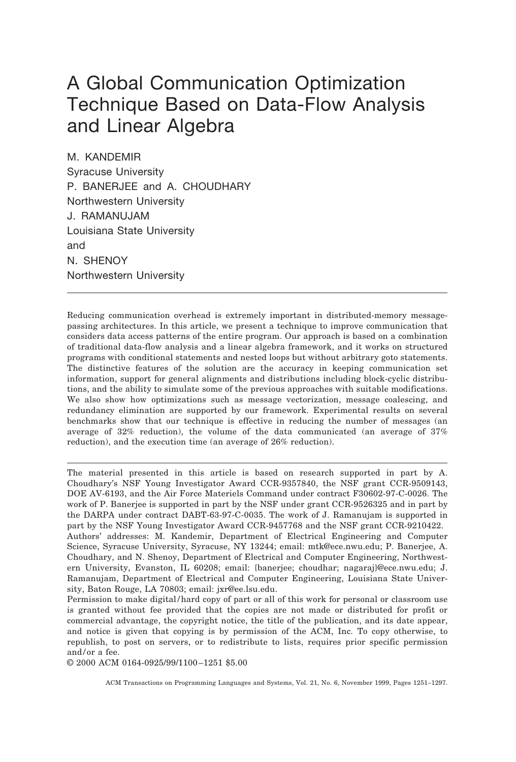# A Global Communication Optimization Technique Based on Data-Flow Analysis and Linear Algebra

M. KANDEMIR Syracuse University P. BANERJEE and A. CHOUDHARY Northwestern University J. RAMANUJAM Louisiana State University and N. SHENOY Northwestern University

Reducing communication overhead is extremely important in distributed-memory messagepassing architectures. In this article, we present a technique to improve communication that considers data access patterns of the entire program. Our approach is based on a combination of traditional data-flow analysis and a linear algebra framework, and it works on structured programs with conditional statements and nested loops but without arbitrary goto statements. The distinctive features of the solution are the accuracy in keeping communication set information, support for general alignments and distributions including block-cyclic distributions, and the ability to simulate some of the previous approaches with suitable modifications. We also show how optimizations such as message vectorization, message coalescing, and redundancy elimination are supported by our framework. Experimental results on several benchmarks show that our technique is effective in reducing the number of messages (an average of 32% reduction), the volume of the data communicated (an average of 37% reduction), and the execution time (an average of 26% reduction).

The material presented in this article is based on research supported in part by A. Choudhary's NSF Young Investigator Award CCR-9357840, the NSF grant CCR-9509143, DOE AV-6193, and the Air Force Materiels Command under contract F30602-97-C-0026. The work of P. Banerjee is supported in part by the NSF under grant CCR-9526325 and in part by the DARPA under contract DABT-63-97-C-0035. The work of J. Ramanujam is supported in part by the NSF Young Investigator Award CCR-9457768 and the NSF grant CCR-9210422. Authors' addresses: M. Kandemir, Department of Electrical Engineering and Computer Science, Syracuse University, Syracuse, NY 13244; email: mtk@ece.nwu.edu; P. Banerjee, A. Choudhary, and N. Shenoy, Department of Electrical and Computer Engineering, Northwestern University, Evanston, IL 60208; email: {banerjee; choudhar; nagaraj}@ece.nwu.edu; J. Ramanujam, Department of Electrical and Computer Engineering, Louisiana State University, Baton Rouge, LA 70803; email: jxr@ee.lsu.edu.

Permission to make digital/hard copy of part or all of this work for personal or classroom use is granted without fee provided that the copies are not made or distributed for profit or commercial advantage, the copyright notice, the title of the publication, and its date appear, and notice is given that copying is by permission of the ACM, Inc. To copy otherwise, to republish, to post on servers, or to redistribute to lists, requires prior specific permission and/or a fee.

© 2000 ACM 0164-0925/99/1100–1251 \$5.00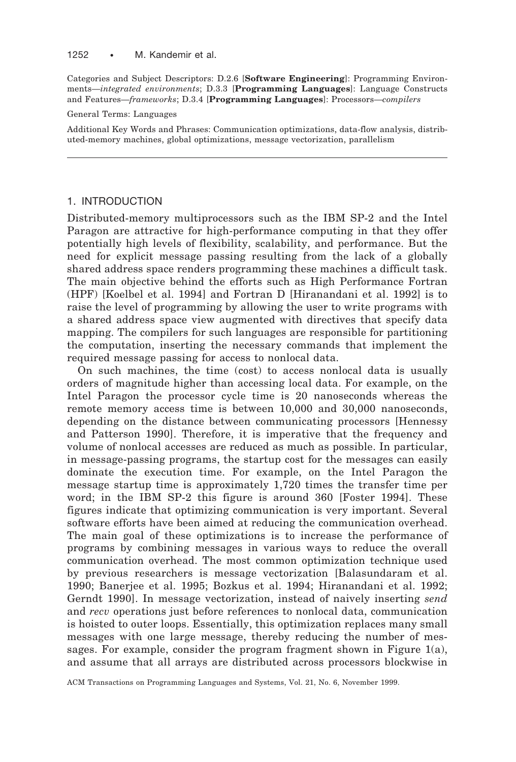Categories and Subject Descriptors: D.2.6 [**Software Engineering**]: Programming Environments—*integrated environments*; D.3.3 [**Programming Languages**]: Language Constructs and Features—*frameworks*; D.3.4 [**Programming Languages**]: Processors—*compilers*

General Terms: Languages

Additional Key Words and Phrases: Communication optimizations, data-flow analysis, distributed-memory machines, global optimizations, message vectorization, parallelism

### 1. INTRODUCTION

Distributed-memory multiprocessors such as the IBM SP-2 and the Intel Paragon are attractive for high-performance computing in that they offer potentially high levels of flexibility, scalability, and performance. But the need for explicit message passing resulting from the lack of a globally shared address space renders programming these machines a difficult task. The main objective behind the efforts such as High Performance Fortran (HPF) [Koelbel et al. 1994] and Fortran D [Hiranandani et al. 1992] is to raise the level of programming by allowing the user to write programs with a shared address space view augmented with directives that specify data mapping. The compilers for such languages are responsible for partitioning the computation, inserting the necessary commands that implement the required message passing for access to nonlocal data.

On such machines, the time (cost) to access nonlocal data is usually orders of magnitude higher than accessing local data. For example, on the Intel Paragon the processor cycle time is 20 nanoseconds whereas the remote memory access time is between 10,000 and 30,000 nanoseconds, depending on the distance between communicating processors [Hennessy and Patterson 1990]. Therefore, it is imperative that the frequency and volume of nonlocal accesses are reduced as much as possible. In particular, in message-passing programs, the startup cost for the messages can easily dominate the execution time. For example, on the Intel Paragon the message startup time is approximately 1,720 times the transfer time per word; in the IBM SP-2 this figure is around 360 [Foster 1994]. These figures indicate that optimizing communication is very important. Several software efforts have been aimed at reducing the communication overhead. The main goal of these optimizations is to increase the performance of programs by combining messages in various ways to reduce the overall communication overhead. The most common optimization technique used by previous researchers is message vectorization [Balasundaram et al. 1990; Banerjee et al. 1995; Bozkus et al. 1994; Hiranandani et al. 1992; Gerndt 1990]. In message vectorization, instead of naively inserting *send* and *recv* operations just before references to nonlocal data, communication is hoisted to outer loops. Essentially, this optimization replaces many small messages with one large message, thereby reducing the number of messages. For example, consider the program fragment shown in Figure 1(a), and assume that all arrays are distributed across processors blockwise in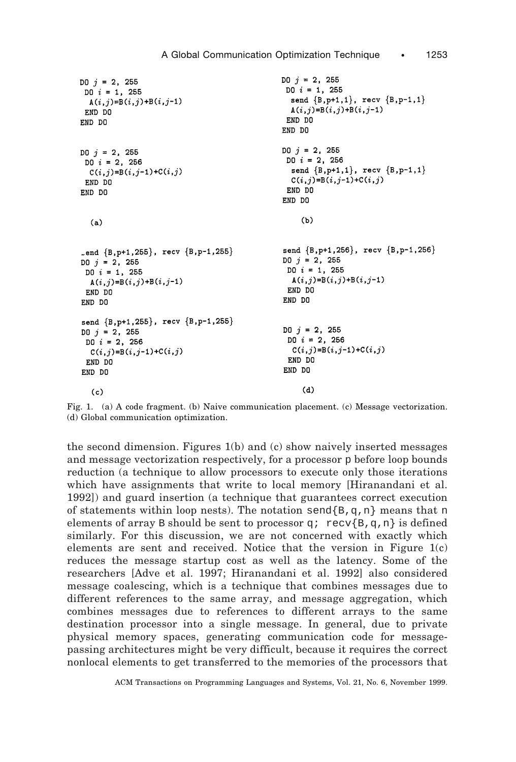```
DO j = 2, 255DO j = 2, 255DO i = 1, 255D0 i = 1, 255
                                                   send {B, p+1, 1}, recv {B, p-1, 1}A(i, j) = B(i, j) + B(i, j-1)A(i, j) = B(i, j) + B(i, j-1)END DO
                                                  END DO
END DO
                                                 END DO
                                                 DO j = 2, 255DO j = 2, 255
                                                 DO i = 2, 256
 DO i = 2, 256C(i,j)=B(i,j-1)+C(i,j)send {B, p+1, 1}, recv {B, p-1, 1}C(i,j)=B(i,j-1)+C(i,j)FND DO
                                                  END DO
END DO
                                                 END DO
                                                     (b)(a)send {B, p+1, 256}, recv {B, p-1, 256}
_{\text{end}} {B, p+1, 255}, recv {B, p-1, 255}
                                                 DO j = 2, 255DO j = 2, 255
                                                  DO i = 1, 255DO i = 1, 255
                                                  A(i, j) = B(i, j) + B(i, j-1)A(i,j)=B(i,j)+B(i,j-1)END DO
 END DO
                                                 END DO
END DO
send {B, p+1,255}, recv {B, p-1,255}
                                                 DO j = 2, 255DO j = 2, 255DO i = 2, 256
 DO i = 2, 256C(i,j)=B(i,j-1)+C(i,j)C(i, j) = B(i, j-1) + C(i, j)END DO
 END DO
                                                 END DO
END DO
                                                      (d)(c)
```
Fig. 1. (a) A code fragment. (b) Naive communication placement. (c) Message vectorization. (d) Global communication optimization.

the second dimension. Figures 1(b) and (c) show naively inserted messages and message vectorization respectively, for a processor p before loop bounds reduction (a technique to allow processors to execute only those iterations which have assignments that write to local memory [Hiranandani et al. 1992]) and guard insertion (a technique that guarantees correct execution of statements within loop nests). The notation send $\{B,q,n\}$  means that n elements of array B should be sent to processor q;  $\text{recv}\{B,q,n\}$  is defined similarly. For this discussion, we are not concerned with exactly which elements are sent and received. Notice that the version in Figure 1(c) reduces the message startup cost as well as the latency. Some of the researchers [Adve et al. 1997; Hiranandani et al. 1992] also considered message coalescing, which is a technique that combines messages due to different references to the same array, and message aggregation, which combines messages due to references to different arrays to the same destination processor into a single message. In general, due to private physical memory spaces, generating communication code for messagepassing architectures might be very difficult, because it requires the correct nonlocal elements to get transferred to the memories of the processors that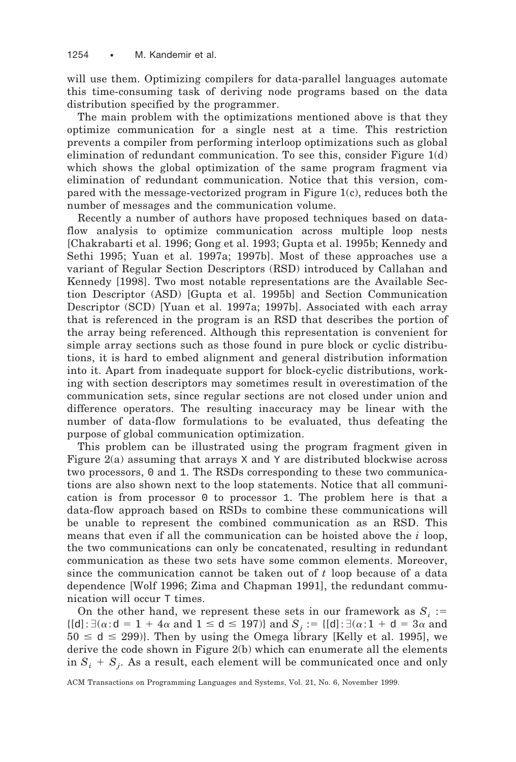will use them. Optimizing compilers for data-parallel languages automate this time-consuming task of deriving node programs based on the data distribution specified by the programmer.

The main problem with the optimizations mentioned above is that they optimize communication for a single nest at a time. This restriction prevents a compiler from performing interloop optimizations such as global elimination of redundant communication. To see this, consider Figure 1(d) which shows the global optimization of the same program fragment via elimination of redundant communication. Notice that this version, compared with the message-vectorized program in Figure 1(c), reduces both the number of messages and the communication volume.

Recently a number of authors have proposed techniques based on dataflow analysis to optimize communication across multiple loop nests [Chakrabarti et al. 1996; Gong et al. 1993; Gupta et al. 1995b; Kennedy and Sethi 1995; Yuan et al. 1997a; 1997b]. Most of these approaches use a variant of Regular Section Descriptors (RSD) introduced by Callahan and Kennedy [1998]. Two most notable representations are the Available Section Descriptor (ASD) [Gupta et al. 1995b] and Section Communication Descriptor (SCD) [Yuan et al. 1997a; 1997b]. Associated with each array that is referenced in the program is an RSD that describes the portion of the array being referenced. Although this representation is convenient for simple array sections such as those found in pure block or cyclic distributions, it is hard to embed alignment and general distribution information into it. Apart from inadequate support for block-cyclic distributions, working with section descriptors may sometimes result in overestimation of the communication sets, since regular sections are not closed under union and difference operators. The resulting inaccuracy may be linear with the number of data-flow formulations to be evaluated, thus defeating the purpose of global communication optimization.

This problem can be illustrated using the program fragment given in Figure 2(a) assuming that arrays X and Y are distributed blockwise across two processors, 0 and 1. The RSDs corresponding to these two communications are also shown next to the loop statements. Notice that all communication is from processor 0 to processor 1. The problem here is that a data-flow approach based on RSDs to combine these communications will be unable to represent the combined communication as an RSD. This means that even if all the communication can be hoisted above the *i* loop, the two communications can only be concatenated, resulting in redundant communication as these two sets have some common elements. Moreover, since the communication cannot be taken out of *t* loop because of a data dependence [Wolf 1996; Zima and Chapman 1991], the redundant communication will occur T times.

On the other hand, we represent these sets in our framework as  $S_i$ :  $\{[\text{d}]: \exists(\alpha:\text{d} = 1 + 4\alpha \text{ and } 1 \leq \text{d} \leq 197)\}\$  and  $S_j := \{[\text{d}]: \exists(\alpha:1 + \text{d} = 3\alpha \text{ and } 1 \leq \text{d} = 197)\}\$  $50 \le d \le 299$ ). Then by using the Omega library [Kelly et al. 1995], we derive the code shown in Figure 2(b) which can enumerate all the elements in  $S_i + S_j$ . As a result, each element will be communicated once and only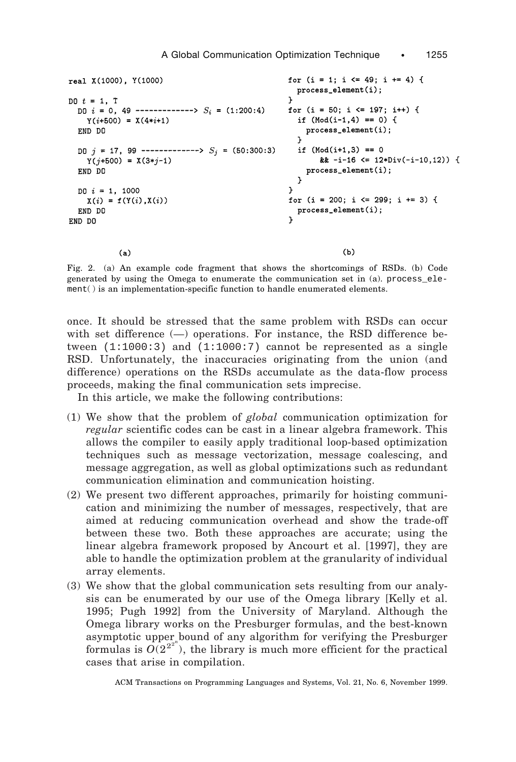```
for (i = 1; i \le 49; i += 4) {
real X(1000), Y(1000)
                                                      process_element(i);
DO t = 1, T
                                                    J.
  DO i = 0, 49 -------------> S_i = (1:200:4)for (i = 50; i \le 197; i++) {
    Y(i+500) = X(4*i+1)if (Mod(i-1,4) == 0) {
  END DO
                                                       process_element(i);
                                                      ŀ
  DO i = 17, 99 -------------> S_i = (50:300:3)if (Mod(i+1,3) == 0&& -i-16 \le i2*Div(-i-10,12) {
    Y(j+500) = X(3+j-1)END DO
                                                       process_element(i);
                                                      \mathbf{1}\mathbf{r}DO i = 1, 1000for (i = 200; i \le 299; i \ne 3) {
    X(i) = f(Y(i), X(i))process^{element(i)};
  END DO
END DO
            (a)(b)
```
Fig. 2. (a) An example code fragment that shows the shortcomings of RSDs. (b) Code generated by using the Omega to enumerate the communication set in (a). process\_ele $m$ ent() is an implementation-specific function to handle enumerated elements.

once. It should be stressed that the same problem with RSDs can occur with set difference  $(-)$  operations. For instance, the RSD difference between  $(1:1000:3)$  and  $(1:1000:7)$  cannot be represented as a single RSD. Unfortunately, the inaccuracies originating from the union (and difference) operations on the RSDs accumulate as the data-flow process proceeds, making the final communication sets imprecise.

In this article, we make the following contributions:

- (1) We show that the problem of *global* communication optimization for *regular* scientific codes can be cast in a linear algebra framework. This allows the compiler to easily apply traditional loop-based optimization techniques such as message vectorization, message coalescing, and message aggregation, as well as global optimizations such as redundant communication elimination and communication hoisting.
- (2) We present two different approaches, primarily for hoisting communication and minimizing the number of messages, respectively, that are aimed at reducing communication overhead and show the trade-off between these two. Both these approaches are accurate; using the linear algebra framework proposed by Ancourt et al. [1997], they are able to handle the optimization problem at the granularity of individual array elements.
- (3) We show that the global communication sets resulting from our analysis can be enumerated by our use of the Omega library [Kelly et al. 1995; Pugh 1992] from the University of Maryland. Although the Omega library works on the Presburger formulas, and the best-known asymptotic upper bound of any algorithm for verifying the Presburger formulas is  $O(2^{2^{n}})$ , the library is much more efficient for the practical cases that arise in compilation.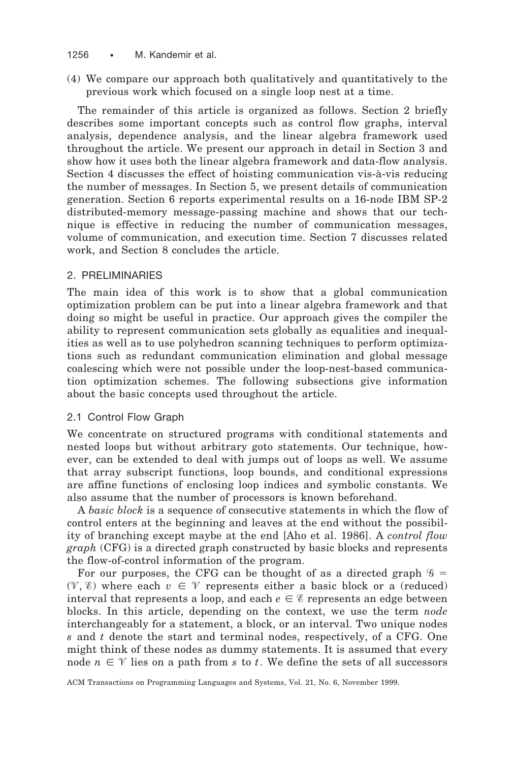- 1256 M. Kandemir et al.
- (4) We compare our approach both qualitatively and quantitatively to the previous work which focused on a single loop nest at a time.

The remainder of this article is organized as follows. Section 2 briefly describes some important concepts such as control flow graphs, interval analysis, dependence analysis, and the linear algebra framework used throughout the article. We present our approach in detail in Section 3 and show how it uses both the linear algebra framework and data-flow analysis. Section 4 discusses the effect of hoisting communication vis-à-vis reducing the number of messages. In Section 5, we present details of communication generation. Section 6 reports experimental results on a 16-node IBM SP-2 distributed-memory message-passing machine and shows that our technique is effective in reducing the number of communication messages, volume of communication, and execution time. Section 7 discusses related work, and Section 8 concludes the article.

## 2. PRELIMINARIES

The main idea of this work is to show that a global communication optimization problem can be put into a linear algebra framework and that doing so might be useful in practice. Our approach gives the compiler the ability to represent communication sets globally as equalities and inequalities as well as to use polyhedron scanning techniques to perform optimizations such as redundant communication elimination and global message coalescing which were not possible under the loop-nest-based communication optimization schemes. The following subsections give information about the basic concepts used throughout the article.

#### 2.1 Control Flow Graph

We concentrate on structured programs with conditional statements and nested loops but without arbitrary goto statements. Our technique, however, can be extended to deal with jumps out of loops as well. We assume that array subscript functions, loop bounds, and conditional expressions are affine functions of enclosing loop indices and symbolic constants. We also assume that the number of processors is known beforehand.

A *basic block* is a sequence of consecutive statements in which the flow of control enters at the beginning and leaves at the end without the possibility of branching except maybe at the end [Aho et al. 1986]. A *control flow graph* (CFG) is a directed graph constructed by basic blocks and represents the flow-of-control information of the program.

For our purposes, the CFG can be thought of as a directed graph  $\mathcal{G} =$  $(\mathcal{V}, \mathcal{E})$  where each  $v \in \mathcal{V}$  represents either a basic block or a (reduced) interval that represents a loop, and each  $e \in \mathscr{E}$  represents an edge between blocks. In this article, depending on the context, we use the term *node* interchangeably for a statement, a block, or an interval. Two unique nodes *s* and *t* denote the start and terminal nodes, respectively, of a CFG. One might think of these nodes as dummy statements. It is assumed that every node  $n \in \mathcal{V}$  lies on a path from *s* to *t*. We define the sets of all successors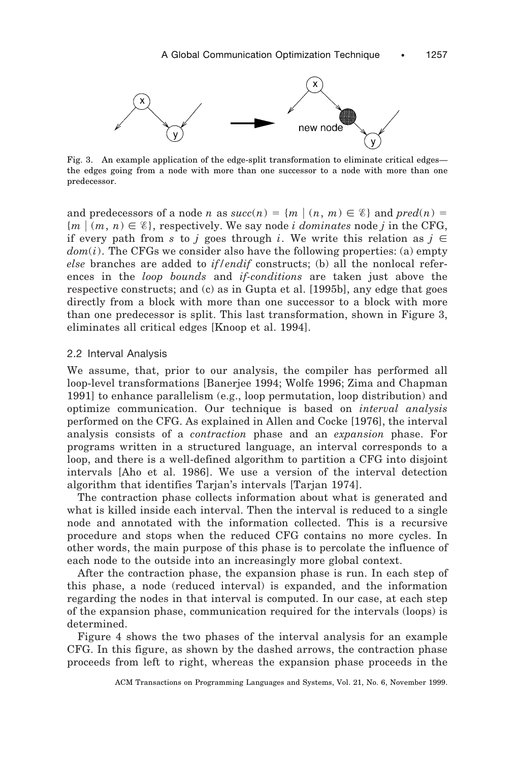

Fig. 3. An example application of the edge-split transformation to eliminate critical edges the edges going from a node with more than one successor to a node with more than one predecessor.

and predecessors of a node *n* as  $succ(n) = \{m \mid (n, m) \in \mathcal{E}\}\$  and  $pred(n) = \{m \mid (n, m)\}$  ${m \mid (m, n) \in \mathcal{E}}$ , respectively. We say node *i dominates* node *j* in the CFG, if every path from *s* to *j* goes through *i*. We write this relation as  $j \in$  $dom(i)$ . The CFGs we consider also have the following properties: (a) empty *else* branches are added to *if/endif* constructs; (b) all the nonlocal references in the *loop bounds* and *if-conditions* are taken just above the respective constructs; and (c) as in Gupta et al. [1995b], any edge that goes directly from a block with more than one successor to a block with more than one predecessor is split. This last transformation, shown in Figure 3, eliminates all critical edges [Knoop et al. 1994].

#### 2.2 Interval Analysis

We assume, that, prior to our analysis, the compiler has performed all loop-level transformations [Banerjee 1994; Wolfe 1996; Zima and Chapman 1991] to enhance parallelism (e.g., loop permutation, loop distribution) and optimize communication. Our technique is based on *interval analysis* performed on the CFG. As explained in Allen and Cocke [1976], the interval analysis consists of a *contraction* phase and an *expansion* phase. For programs written in a structured language, an interval corresponds to a loop, and there is a well-defined algorithm to partition a CFG into disjoint intervals [Aho et al. 1986]. We use a version of the interval detection algorithm that identifies Tarjan's intervals [Tarjan 1974].

The contraction phase collects information about what is generated and what is killed inside each interval. Then the interval is reduced to a single node and annotated with the information collected. This is a recursive procedure and stops when the reduced CFG contains no more cycles. In other words, the main purpose of this phase is to percolate the influence of each node to the outside into an increasingly more global context.

After the contraction phase, the expansion phase is run. In each step of this phase, a node (reduced interval) is expanded, and the information regarding the nodes in that interval is computed. In our case, at each step of the expansion phase, communication required for the intervals (loops) is determined.

Figure 4 shows the two phases of the interval analysis for an example CFG. In this figure, as shown by the dashed arrows, the contraction phase proceeds from left to right, whereas the expansion phase proceeds in the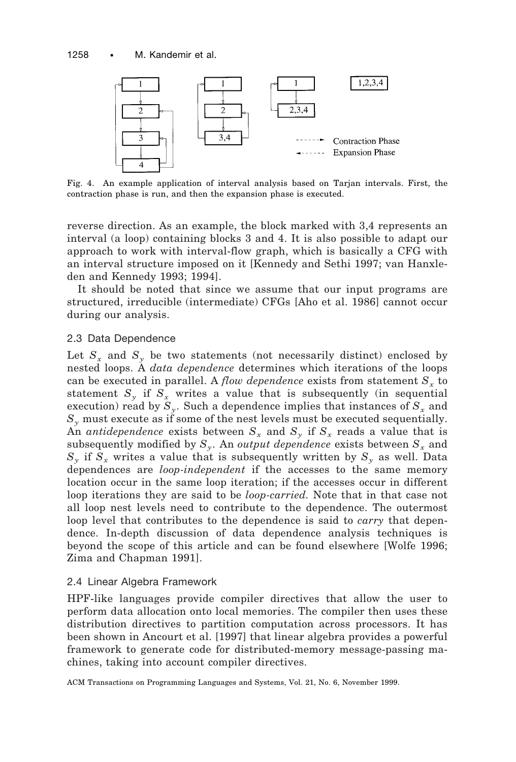

Fig. 4. An example application of interval analysis based on Tarjan intervals. First, the contraction phase is run, and then the expansion phase is executed.

reverse direction. As an example, the block marked with 3,4 represents an interval (a loop) containing blocks 3 and 4. It is also possible to adapt our approach to work with interval-flow graph, which is basically a CFG with an interval structure imposed on it [Kennedy and Sethi 1997; van Hanxleden and Kennedy 1993; 1994].

It should be noted that since we assume that our input programs are structured, irreducible (intermediate) CFGs [Aho et al. 1986] cannot occur during our analysis.

## 2.3 Data Dependence

Let  $S_x$  and  $S_y$  be two statements (not necessarily distinct) enclosed by nested loops. A *data dependence* determines which iterations of the loops can be executed in parallel. A *flow dependence* exists from statement  $S<sub>x</sub>$  to statement  $S_{y}$  if  $S_{x}$  writes a value that is subsequently (in sequential execution) read by  $S_y$ . Such a dependence implies that instances of  $S_x$  and *Sy* must execute as if some of the nest levels must be executed sequentially. An *antidependence* exists between  $S_x$  and  $S_y$  if  $S_x$  reads a value that is subsequently modified by  $S_{\gamma}$ . An *output dependence* exists between  $S_{\gamma}$  and  $S_{\gamma}$  if  $S_{\gamma}$  writes a value that is subsequently written by  $S_{\gamma}$  as well. Data dependences are *loop-independent* if the accesses to the same memory location occur in the same loop iteration; if the accesses occur in different loop iterations they are said to be *loop-carried.* Note that in that case not all loop nest levels need to contribute to the dependence. The outermost loop level that contributes to the dependence is said to *carry* that dependence. In-depth discussion of data dependence analysis techniques is beyond the scope of this article and can be found elsewhere [Wolfe 1996; Zima and Chapman 1991].

## 2.4 Linear Algebra Framework

HPF-like languages provide compiler directives that allow the user to perform data allocation onto local memories. The compiler then uses these distribution directives to partition computation across processors. It has been shown in Ancourt et al. [1997] that linear algebra provides a powerful framework to generate code for distributed-memory message-passing machines, taking into account compiler directives.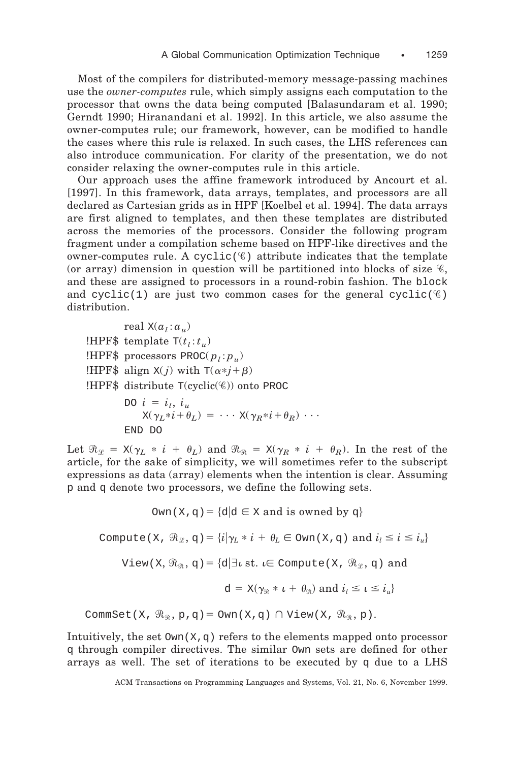Most of the compilers for distributed-memory message-passing machines use the *owner-computes* rule, which simply assigns each computation to the processor that owns the data being computed [Balasundaram et al. 1990; Gerndt 1990; Hiranandani et al. 1992]. In this article, we also assume the owner-computes rule; our framework, however, can be modified to handle the cases where this rule is relaxed. In such cases, the LHS references can also introduce communication. For clarity of the presentation, we do not consider relaxing the owner-computes rule in this article.

Our approach uses the affine framework introduced by Ancourt et al. [1997]. In this framework, data arrays, templates, and processors are all declared as Cartesian grids as in HPF [Koelbel et al. 1994]. The data arrays are first aligned to templates, and then these templates are distributed across the memories of the processors. Consider the following program fragment under a compilation scheme based on HPF-like directives and the owner-computes rule. A cyclic( $\mathscr{C}$ ) attribute indicates that the template (or array) dimension in question will be partitioned into blocks of size  $\mathscr{C}$ , and these are assigned to processors in a round-robin fashion. The block and cyclic(1) are just two common cases for the general cyclic( $\mathscr{C}$ ) distribution.

real  $X(a_i; a_u)$ !HPF\$ template  $T(t_i:t_u)$ **!HPF\$** processors  $PROC(p_i; p_u)$ **!HPF\$** align  $X(j)$  with  $T(\alpha * j + \beta)$ **!HPF\$** distribute  $T(cyclic(\mathcal{C}))$  onto PROC DO *i* 5 *il*, *iu*  $X(\gamma_L * i + \theta_L) = \cdots X(\gamma_R * i + \theta_R) \cdots$ 

END DO

Let  $\mathcal{R}_{\mathscr{L}} = X(\gamma_L * i + \theta_L)$  and  $\mathcal{R}_{\mathscr{R}} = X(\gamma_R * i + \theta_R)$ . In the rest of the article, for the sake of simplicity, we will sometimes refer to the subscript expressions as data (array) elements when the intention is clear. Assuming p and q denote two processors, we define the following sets.

$$
\text{Own}(X, q) = \{d | d \in X \text{ and is owned by } q\}
$$
\n
$$
\text{Compute}(X, \mathcal{R}_{\mathcal{L}}, q) = \{i | \gamma_L * i + \theta_L \in \text{Own}(X, q) \text{ and } i_l \le i \le i_u\}
$$
\n
$$
\text{View}(X, \mathcal{R}_{\mathcal{R}}, q) = \{d | \exists \iota \text{ st. } \iota \in \text{Compute}(X, \mathcal{R}_{\mathcal{L}}, q) \text{ and }
$$
\n
$$
d = X(\gamma_{\mathcal{R}} * \iota + \theta_{\mathcal{R}}) \text{ and } i_l \le \iota \le i_u\}
$$
\n
$$
\text{CommSet}(X, \mathcal{R}_{\mathcal{R}}, p, q) = \text{Own}(X, q) \cap \text{View}(X, \mathcal{R}_{\mathcal{R}}, p).
$$

Intuitively, the set  $\text{Own}(X,q)$  refers to the elements mapped onto processor q through compiler directives. The similar Own sets are defined for other arrays as well. The set of iterations to be executed by q due to a LHS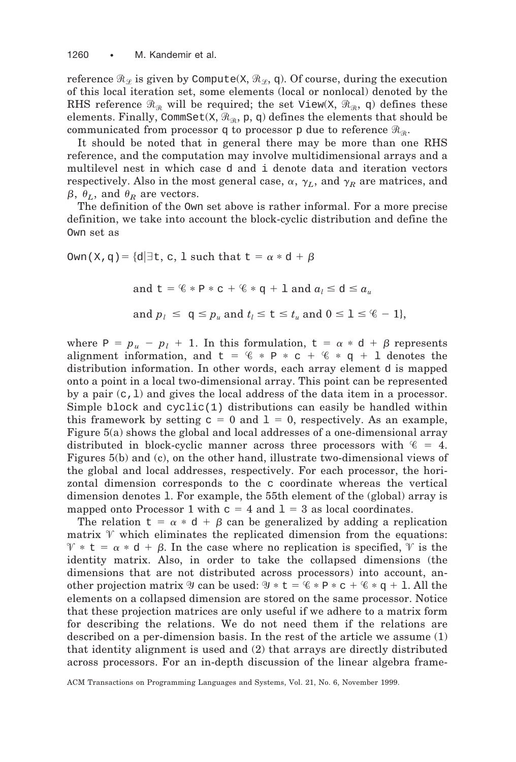reference  $\mathcal{R}_{\mathcal{L}}$  is given by Compute(X,  $\mathcal{R}_{\mathcal{L}}$ , q). Of course, during the execution of this local iteration set, some elements (local or nonlocal) denoted by the RHS reference  $\mathcal{R}_{\mathcal{R}}$  will be required; the set View(X,  $\mathcal{R}_{\mathcal{R}}$ , q) defines these elements. Finally, CommSet(x,  $\mathcal{R}_{\mathcal{R}}$ , p, q) defines the elements that should be communicated from processor q to processor p due to reference  $\mathcal{R}_{\mathcal{D}}$ .

It should be noted that in general there may be more than one RHS reference, and the computation may involve multidimensional arrays and a multilevel nest in which case d and i denote data and iteration vectors respectively. Also in the most general case,  $\alpha$ ,  $\gamma_L$ , and  $\gamma_R$  are matrices, and  $\beta$ ,  $\theta_L$ , and  $\theta_R$  are vectors.

The definition of the Own set above is rather informal. For a more precise definition, we take into account the block-cyclic distribution and define the Own set as

Own(X,q)={d \del \del t}, c, l such that t =  $\alpha * d + \beta$ 

and 
$$
t = \mathcal{C} * p * c + \mathcal{C} * q + 1
$$
 and  $a_l \le d \le a_u$ 

and 
$$
p_l \leq q \leq p_u
$$
 and  $t_l \leq t \leq t_u$  and  $0 \leq l \leq \ell - 1$ ,

where  $P = p_u - p_l + 1$ . In this formulation,  $t = \alpha * d + \beta$  represents alignment information, and  $t = \mathscr{C} * P * c + \mathscr{C} * q + 1$  denotes the distribution information. In other words, each array element d is mapped onto a point in a local two-dimensional array. This point can be represented by a pair  $(c,1)$  and gives the local address of the data item in a processor. Simple block and  $cyclic(1)$  distributions can easily be handled within this framework by setting  $c = 0$  and  $1 = 0$ , respectively. As an example, Figure 5(a) shows the global and local addresses of a one-dimensional array distributed in block-cyclic manner across three processors with  $\mathscr{C} = 4$ . Figures 5(b) and (c), on the other hand, illustrate two-dimensional views of the global and local addresses, respectively. For each processor, the horizontal dimension corresponds to the c coordinate whereas the vertical dimension denotes l. For example, the 55th element of the (global) array is mapped onto Processor 1 with  $c = 4$  and  $1 = 3$  as local coordinates.

The relation  $t = \alpha * d + \beta$  can be generalized by adding a replication matrix  $\mathcal V$  which eliminates the replicated dimension from the equations:  $\mathcal{V} * t = \alpha * d + \beta$ . In the case where no replication is specified,  $\mathcal{V}$  is the identity matrix. Also, in order to take the collapsed dimensions (the dimensions that are not distributed across processors) into account, another projection matrix  $\mathcal Y$  can be used:  $\mathcal Y * \mathsf{c} = \mathcal C * \mathsf{p} * \mathsf{c} + \mathcal C * \mathsf{q} + 1$ . All the elements on a collapsed dimension are stored on the same processor. Notice that these projection matrices are only useful if we adhere to a matrix form for describing the relations. We do not need them if the relations are described on a per-dimension basis. In the rest of the article we assume (1) that identity alignment is used and (2) that arrays are directly distributed across processors. For an in-depth discussion of the linear algebra frame-

ACM Transactions on Programming Languages and Systems, Vol. 21, No. 6, November 1999.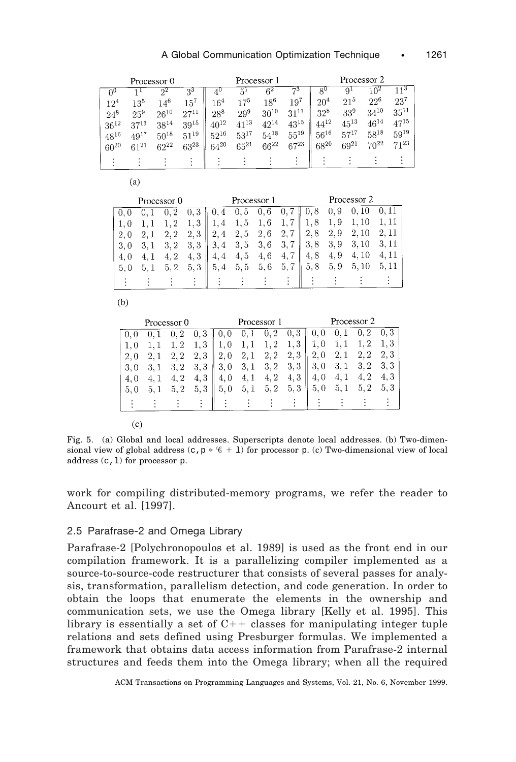| Processor 0 |                 |           |           |           | Processor 1 |           |             |           | Processor 2     |           |           |           |
|-------------|-----------------|-----------|-----------|-----------|-------------|-----------|-------------|-----------|-----------------|-----------|-----------|-----------|
|             |                 |           | ი2        | 33        |             | 5         | $\rm 6^{2}$ | 73        | $8^0$           | Ö,        | $10^2$    | $11^3$    |
|             | 12 <sup>4</sup> | $13^{5}$  | $14^{6}$  | $15^7$    | $16^4$      | 175       | $18^6$      | $19^7$    | 20 <sup>4</sup> | $21^{5}$  | $22^{6}$  | $23^{7}$  |
|             | $24^{8}$        | $25^{9}$  | $26^{10}$ | $27^{11}$ | 288         | $29^{9}$  | $30^{10}$   | $31^{11}$ | $32^{8}$        | $33^{9}$  | $34^{10}$ | $35^{11}$ |
|             | $36^{12}$       | $37^{13}$ | $38^{14}$ | $39^{15}$ | $40^{12}$   | $41^{13}$ | $42^{14}$   | $43^{15}$ | $44^{12}$       | $45^{13}$ | $46^{14}$ | $47^{15}$ |
|             | $48^{16}$       | $49^{17}$ | $50^{18}$ | $51^{19}$ | $52^{16}$   | $53^{17}$ | $54^{18}$   | $55^{19}$ | $56^{16}$       | $57^{17}$ | $58^{18}$ | $59^{19}$ |
|             | $60^{20}$       | $61^{21}$ | $62^{22}$ | $63^{23}$ | $64^{20}$   | $65^{21}$ | $66^{22}$   | $67^{23}$ | $68^{20}$       | $69^{21}$ | $70^{22}$ | $71^{23}$ |
|             |                 |           |           |           |             |           |             |           |                 |           |           |           |
|             |                 |           |           |           |             |           |             |           |                 |           |           |           |

 $(a)$ 

|      |      | Processor 0 |      | Processor 1 |            |     |      | Processor 2 |     |       |       |  |
|------|------|-------------|------|-------------|------------|-----|------|-------------|-----|-------|-------|--|
| 0.0  |      | 0, 2        | 0, 3 | 0, 4        | 0, 5, 0, 6 |     | 0, 7 | 0, 8        | 0,9 | 0, 10 | 0, 11 |  |
| 1.0  |      | 1, 2        | 1, 3 | 1,4         | 1, 5       | 1,6 |      | 1.8         | 1.9 | 1.10  |       |  |
| 2.0  | 2. 1 | 2.2         | 2.3  | 2,4         | 2,5        | 2,6 | 2,7  | 2.8         | 2.9 | 2,10  | 2.11  |  |
| 3.0  |      | 3.2         | 3, 3 | 3, 4        | 3, 5       | 3.6 | 3.7  | 3.8         | 3.9 | 3, 10 | 3.11  |  |
| 4. U | 4. 1 | 4.2         | 4.3  | 4,4         | 4,5        | 4,6 | 4.7  | 4,8         | 4.9 | 4.10  | 4.11  |  |
| 5,0  | 5. 1 | 5.2         | 5.3  | 5,4         | 5, 5       | 5,6 | 5.7  | 5, 8        | 5.9 | 5, 10 | 5.11  |  |
|      |      |             |      |             |            |     |      |             |     |       |       |  |

 $(b)$ 

|     |         | Processor 0 |      | Processor 1 |      |      |      | Processor 2 |      |      |      |  |
|-----|---------|-------------|------|-------------|------|------|------|-------------|------|------|------|--|
| 0,0 | 0,1     | 0, 2        | 0,3  | 0, 0<br>H   | 0, 1 | 0, 2 | 0, 3 | 0, 0        | 0,1  | 0, 2 | 0,3  |  |
| 1,0 |         | 1, 2        | 1, 3 | 1,0         | 1,1  | 1, 2 | 1, 3 | 1,0         | 1,1  | 1, 2 | 1, 3 |  |
| 2.0 | $2.1\,$ | 2, 2        | 2.3  | 2,0         | 2,1  | 2, 2 | 2, 3 | 2,0         | 2, 1 | 2, 2 | 2, 3 |  |
| 3,0 | 3, 1    | 3.2         | 3,3  | 3,0         | 3, 1 | 3, 2 | 3, 3 | 3,0         | 3.1  | 3.2  | 3.3  |  |
| 4,0 | 4. 1    | 4.2         | 4, 3 | 4.0         | 4, 1 | 4, 2 | 4, 3 | 4,0         | 4. 1 | 4, 2 | 4.3  |  |
| 5,0 | 5,1     | 5, 2        | 5, 3 | 5,0         | 5, 1 | 5, 2 | 5, 3 | 5,0         | 5, 1 | 5, 2 | 5, 3 |  |
|     |         |             | ٠    |             |      |      |      |             |      |      |      |  |
|     |         |             |      |             |      |      |      |             |      |      |      |  |

 $(c)$ 

Fig. 5. (a) Global and local addresses. Superscripts denote local addresses. (b) Two-dimensional view of global address  $(c, p * \ell + 1)$  for processor p. (c) Two-dimensional view of local address  $(c, 1)$  for processor p.

work for compiling distributed-memory programs, we refer the reader to Ancourt et al. [1997].

## 2.5 Parafrase-2 and Omega Library

Parafrase-2 [Polychronopoulos et al. 1989] is used as the front end in our compilation framework. It is a parallelizing compiler implemented as a source-to-source-code restructurer that consists of several passes for analysis, transformation, parallelism detection, and code generation. In order to obtain the loops that enumerate the elements in the ownership and communication sets, we use the Omega library [Kelly et al. 1995]. This library is essentially a set of  $C_{++}$  classes for manipulating integer tuple relations and sets defined using Presburger formulas. We implemented a framework that obtains data access information from Parafrase-2 internal structures and feeds them into the Omega library; when all the required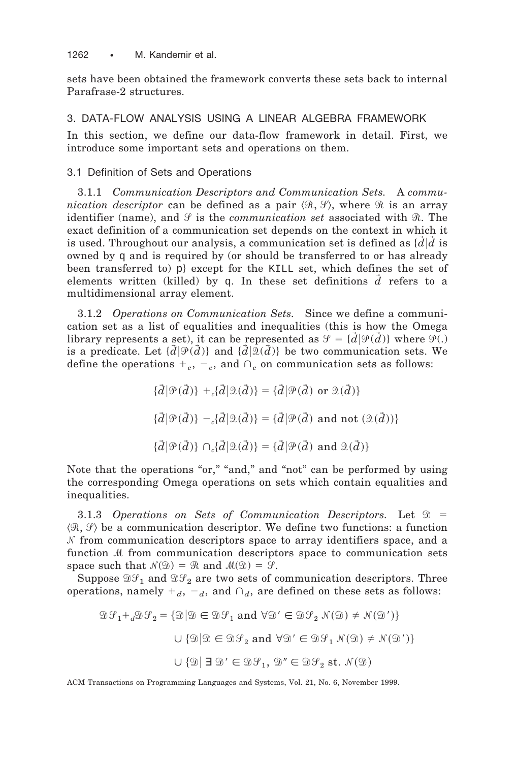sets have been obtained the framework converts these sets back to internal Parafrase-2 structures.

## 3. DATA-FLOW ANALYSIS USING A LINEAR ALGEBRA FRAMEWORK

In this section, we define our data-flow framework in detail. First, we introduce some important sets and operations on them.

## 3.1 Definition of Sets and Operations

3.1.1 *Communication Descriptors and Communication Sets.* A *communication descriptor* can be defined as a pair  $\langle \mathcal{R}, \mathcal{G} \rangle$ , where  $\mathcal{R}$  is an array identifier (name), and  $\mathcal{G}$  is the *communication set* associated with  $\mathcal{R}$ . The exact definition of a communication set depends on the context in which it is used. Throughout our analysis, a communication set is defined as  $\{d/d \text{ is }$ owned by q and is required by (or should be transferred to or has already been transferred to) p} except for the KILL set, which defines the set of elements written (killed) by  $q$ . In these set definitions  $d$  refers to a multidimensional array element.

3.1.2 *Operations on Communication Sets.* Since we define a communication set as a list of equalities and inequalities (this is how the Omega library represents a set), it can be represented as  $\mathcal{G} = {\dagger} \partial \mathcal{G}(\vec{d})$  where  $\mathcal{P}(\vec{d})$ is a predicate. Let  $\{\vec{d}|\mathcal{P}(\vec{d})\}$  and  $\{\vec{d}|\mathcal{Q}(\vec{d})\}$  be two communication sets. We define the operations  $+$ <sub>c</sub>,  $-$ <sub>c</sub>, and  $\cap$ <sub>c</sub> on communication sets as follows:

$$
\{\vec{a}|\mathcal{P}(\vec{a})\} +_{c}\{\vec{a}|\mathcal{Q}(\vec{a})\} = \{\vec{a}|\mathcal{P}(\vec{a}) \text{ or } \mathcal{Q}(\vec{a})\}
$$
  

$$
\{\vec{a}|\mathcal{P}(\vec{a})\} -_{c}\{\vec{a}|\mathcal{Q}(\vec{a})\} = \{\vec{a}|\mathcal{P}(\vec{a}) \text{ and not } (\mathcal{Q}(\vec{a}))\}
$$
  

$$
\{\vec{a}|\mathcal{P}(\vec{a})\} \cap_{c}\{\vec{a}|\mathcal{Q}(\vec{a})\} = \{\vec{a}|\mathcal{P}(\vec{a}) \text{ and } \mathcal{Q}(\vec{a})\}
$$

Note that the operations "or," "and," and "not" can be performed by using the corresponding Omega operations on sets which contain equalities and inequalities.

3.1.3 Operations on Sets of Communication Descriptors. Let  $\mathfrak{D} =$  $\langle \mathcal{R}, \mathcal{G} \rangle$  be a communication descriptor. We define two functions: a function  $\mathcal N$  from communication descriptors space to array identifiers space, and a function  $M$  from communication descriptors space to communication sets space such that  $\mathcal{N}(\mathcal{D}) = \mathcal{R}$  and  $\mathcal{M}(\mathcal{D}) = \mathcal{G}$ .

Suppose  $\mathfrak{B} \mathcal{G}_1$  and  $\mathfrak{B} \mathcal{G}_2$  are two sets of communication descriptors. Three operations, namely  $+_d$ ,  $-_d$ , and  $\cap_d$ , are defined on these sets as follows:

$$
\mathfrak{D}\mathcal{G}_1 +_d \mathfrak{D}\mathcal{G}_2 = \{ \mathfrak{D} | \mathfrak{D} \in \mathfrak{D}\mathcal{G}_1 \text{ and } \forall \mathfrak{D}' \in \mathfrak{D}\mathcal{G}_2 \; \mathcal{N}(\mathfrak{D}) \neq \mathcal{N}(\mathfrak{D}') \}
$$
  

$$
\cup \; \{ \mathfrak{D} | \mathfrak{D} \in \mathfrak{D}\mathcal{G}_2 \text{ and } \forall \mathfrak{D}' \in \mathfrak{D}\mathcal{G}_1 \; \mathcal{N}(\mathfrak{D}) \neq \mathcal{N}(\mathfrak{D}') \}
$$
  

$$
\cup \; \{ \mathfrak{D} | \; \exists \; \mathfrak{D}' \in \mathfrak{D}\mathcal{G}_1, \; \mathfrak{D}'' \in \mathfrak{D}\mathcal{G}_2 \text{ st. } \mathcal{N}(\mathfrak{D})
$$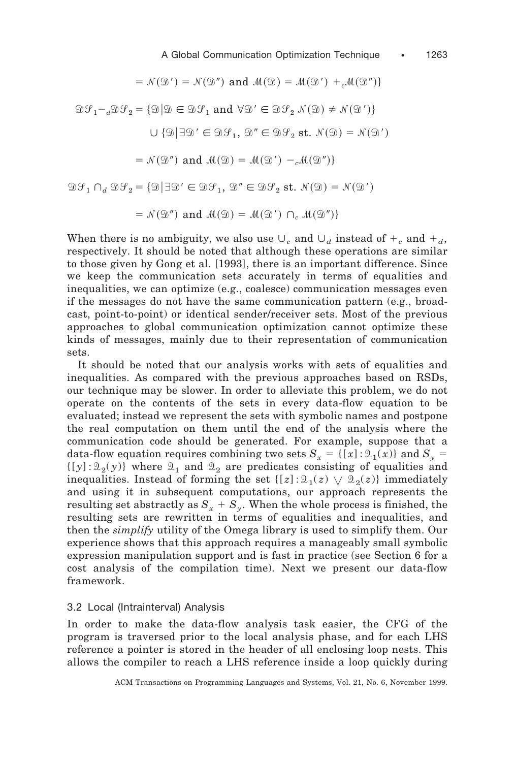$= \mathcal{N}(\mathcal{D}') = \mathcal{N}(\mathcal{D}'')$  and  $\mathcal{M}(\mathcal{D}) = \mathcal{M}(\mathcal{D}') + \mathcal{M}(\mathcal{D}'')$ 

 $\mathfrak{B} \mathcal{G}_1 -_{d} \mathfrak{B} \mathcal{G}_2 = \{ \mathfrak{D} | \mathfrak{D} \in \mathfrak{D} \mathcal{G}_1 \text{ and } \forall \mathfrak{D}' \in \mathfrak{D} \mathcal{G}_2 \text{ } \mathcal{N}(\mathfrak{D}) \neq \mathcal{N}(\mathfrak{D}') \}$  $\cup$  { $\mathfrak{D}$ |  $\exists \mathfrak{D}' \in \mathfrak{D}S_1, \mathfrak{D}'' \in \mathfrak{D}S_2$  st.  $\mathcal{N}(\mathfrak{D}) = \mathcal{N}(\mathfrak{D}')$  $= \mathcal{N}(\mathcal{D}'')$  and  $\mathcal{M}(\mathcal{D}) = \mathcal{M}(\mathcal{D}') - \mathcal{M}(\mathcal{D}'')$  $\mathfrak{B} \mathcal{G}_1 \cap_d \mathfrak{B} \mathcal{G}_2 = \{ \mathfrak{D} | \exists \mathfrak{D}' \in \mathfrak{B} \mathcal{G}_1, \mathfrak{D}'' \in \mathfrak{D} \mathcal{G}_2 \text{ st. } \mathcal{N}(\mathfrak{D}) = \mathcal{N}(\mathfrak{D}')$ 

 $= \mathcal{N}(\mathcal{D}'')$  and  $\mathcal{M}(\mathcal{D}) = \mathcal{M}(\mathcal{D}') \cap_{c} \mathcal{M}(\mathcal{D}'')$ 

When there is no ambiguity, we also use  $\cup_c$  and  $\cup_d$  instead of  $\overline{a}$ , and  $\overline{a}$ , respectively. It should be noted that although these operations are similar to those given by Gong et al. [1993], there is an important difference. Since we keep the communication sets accurately in terms of equalities and inequalities, we can optimize (e.g., coalesce) communication messages even if the messages do not have the same communication pattern (e.g., broadcast, point-to-point) or identical sender/receiver sets. Most of the previous approaches to global communication optimization cannot optimize these kinds of messages, mainly due to their representation of communication sets.

It should be noted that our analysis works with sets of equalities and inequalities. As compared with the previous approaches based on RSDs, our technique may be slower. In order to alleviate this problem, we do not operate on the contents of the sets in every data-flow equation to be evaluated; instead we represent the sets with symbolic names and postpone the real computation on them until the end of the analysis where the communication code should be generated. For example, suppose that a data-flow equation requires combining two sets  $S_x = \{ [x] : \mathcal{Q}_1(x) \}$  and  $S_y =$  $\{ [y]:\mathcal{Q}_2(y) \}$  where  $\mathcal{Q}_1$  and  $\mathcal{Q}_2$  are predicates consisting of equalities and inequalities. Instead of forming the set  $\{[z]:\mathcal{Q}_1(z) \vee \mathcal{Q}_2(z)\}\)$  immediately and using it in subsequent computations, our approach represents the resulting set abstractly as  $S_x + S_y$ . When the whole process is finished, the resulting sets are rewritten in terms of equalities and inequalities, and then the *simplify* utility of the Omega library is used to simplify them. Our experience shows that this approach requires a manageably small symbolic expression manipulation support and is fast in practice (see Section 6 for a cost analysis of the compilation time). Next we present our data-flow framework.

#### 3.2 Local (Intrainterval) Analysis

In order to make the data-flow analysis task easier, the CFG of the program is traversed prior to the local analysis phase, and for each LHS reference a pointer is stored in the header of all enclosing loop nests. This allows the compiler to reach a LHS reference inside a loop quickly during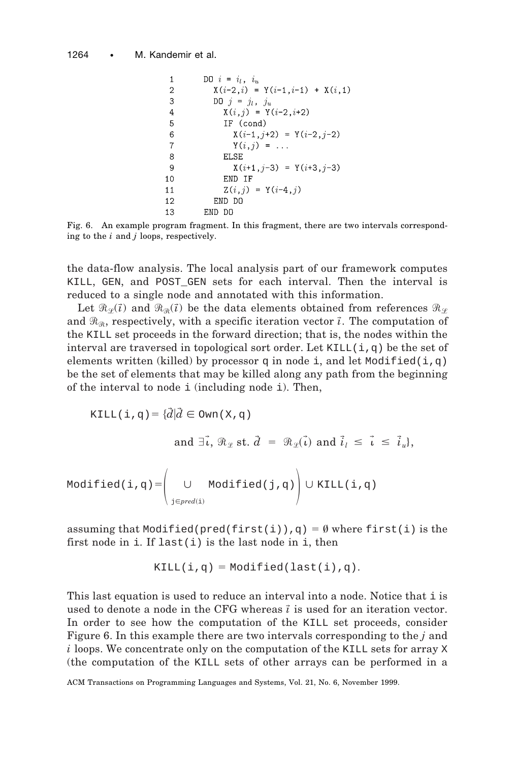```
DO i = i_l, i_u\mathbf{1}\overline{2}X(i-2, i) = Y(i-1, i-1) + X(i, 1)3
             DO j = j_l, j_uX(i, j) = Y(i-2, i+2)4
 5
                IF (cond)
                  X(i-1,j+2) = Y(i-2,j-2)6
 \overline{7}Y(i, j) = \ldots8
                ELSE
 \boldsymbol{9}X(i+1, j-3) = Y(i+3, j-3)10END IF
                Z(i, j) = Y(i-4, j)1112
             END DO
13
          END DO
```
Fig. 6. An example program fragment. In this fragment, there are two intervals corresponding to the *i* and *j* loops, respectively.

the data-flow analysis. The local analysis part of our framework computes KILL, GEN, and POST\_GEN sets for each interval. Then the interval is reduced to a single node and annotated with this information.

Let  $\mathcal{R}_{\mathcal{L}}(\vec{\imath})$  and  $\mathcal{R}_{\mathcal{R}}(\vec{\imath})$  be the data elements obtained from references  $\mathcal{R}_{\mathcal{L}}$ and  $\mathcal{R}_{\mathcal{R}}$ , respectively, with a specific iteration vector  $\vec{\iota}$ . The computation of the KILL set proceeds in the forward direction; that is, the nodes within the interval are traversed in topological sort order. Let  $KILL(i, q)$  be the set of elements written (killed) by processor q in node i, and let Modified(i,q) be the set of elements that may be killed along any path from the beginning of the interval to node i (including node i). Then,

KILL(i, q) = {
$$
\vec{d}
$$
| $\vec{d}$  ∈ Own(X, q)  
and  $\exists \vec{\iota}, \Re_{\mathcal{L}} \text{st. } \vec{d} = \Re_{\mathcal{L}}(\vec{\iota})$  and  $\vec{i}_l \leq \vec{\iota} \leq \vec{i}_u$ },  
Modified(i, q) =  $\left(\bigcup_{j \in pred(i)} Modeltext{Modified}(j, q)\right) \cup KILL(i, q)$ 

assuming that Modified(pred(first(i)),q) =  $\emptyset$  where first(i) is the first node in  $i$ . If last $(i)$  is the last node in  $i$ , then

$$
\texttt{KILL}(i,q) = \texttt{Modified}(\texttt{last}(i), q).
$$

This last equation is used to reduce an interval into a node. Notice that i is used to denote a node in the CFG whereas  $\vec{i}$  is used for an iteration vector. In order to see how the computation of the KILL set proceeds, consider Figure 6. In this example there are two intervals corresponding to the *j* and *i* loops. We concentrate only on the computation of the KILL sets for array X (the computation of the KILL sets of other arrays can be performed in a

ACM Transactions on Programming Languages and Systems, Vol. 21, No. 6, November 1999.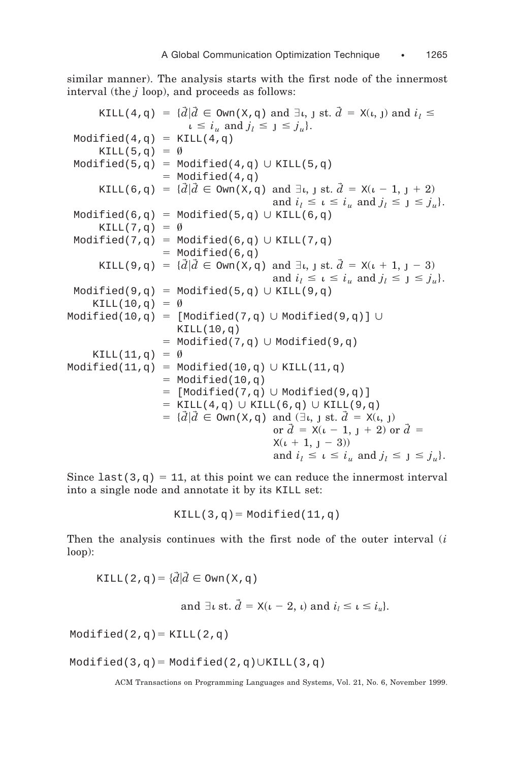similar manner). The analysis starts with the first node of the innermost interval (the *j* loop), and proceeds as follows:

KILL(4,q) = {
$$
\tilde{d}
$$
| $\tilde{d}$  ∈ Own(X,q) and  $\exists i, j \notin \tilde{d} = X(i, j)$  and  $i_l \leq i \leq i_l$  and  $j_l \leq j \leq j_u$ ].  
\nModified(4,q) = KILL(4,q)  
\nKLLL(5,q) = 0  
\nModified(5,q) = Modified(4,q) U KILL(5,q)  
\n= modified(4,q)  
\nKILL(6,q) = { $\tilde{d}$ | $\tilde{d}$  ∈ Own(X,q) and  $\exists i, j \notin \tilde{d} = X(i-1, j+2)$   
\nand  $i_l \leq i \leq i_u$  and  $j_l \leq j \leq j_u$ .  
\nModified(6,q) = Modified(5,q) U KILL(6,q)  
\nKLLL(7,q) = 0  
\nModified(7,q) = modified(6,q) U KILL(7,q)  
\n= modified(6,q)  
\nKILL(9,q) = { $\tilde{d}$ | $\tilde{d}$  ∈ Own(X,q) and  $\exists i, j \notin \tilde{d} = X(i+1, j-3)$   
\nand  $i_l \leq i \leq i_u$  and  $j_l \leq j \leq j_u$ .  
\nModified(9,q) = Modified(5,q) U KILL(9,q)  
\nKILL(10,q) = 0  
\nModified(10,q) = [Modified(7,q) U Modified(9,q)] U  
\nKILL(10,q)  
\n= Modified(7,q) U Modified(9,q)] U  
\nKILL(11,q) = 0  
\nModified(11,q) = modified(10,q) U KILL(11,q)  
\n= modified(10,q) U KILL(11,q)  
\n= modified(10,q) U KILL(11,q)  
\n= modified(10,q) U Matified(9,q)]  
\nKILL(14,q) U KILL(6,q) U KILL(9,q)  
\n= { $\tilde{d}$ | $\tilde{d}$  ∈ Own(X,q) and { $\tilde{d}$ ,  $j \notin \tilde{d}$  = X(i, j)  
\nor  $\tilde{d} = X(i-1, j+2)$  or  $\tilde{d} = X(i+1, j-3)$ )  
\nand  $i_l \leq i \leq i_u$  and  $j_l \leq j \leq j_u$ .

Since last(3,q) = 11, at this point we can reduce the innermost interval into a single node and annotate it by its KILL set:

$$
KILL(3,q) = Modified(11,q)
$$

Then the analysis continues with the first node of the outer interval (*i* loop):

KILL(2,q)=  $\{\vec{d} \mid \vec{d} \in \text{Own}(X,q)$ 

and  $\exists \iota$  st.  $\tilde{d} = X(\iota - 2, \iota)$  and  $i_l \leq \iota \leq i_u$ .

 $Modified(2,q) = KILL(2,q)$ 

 $Modified(3,q) = Modified(2,q)UKILL(3,q)$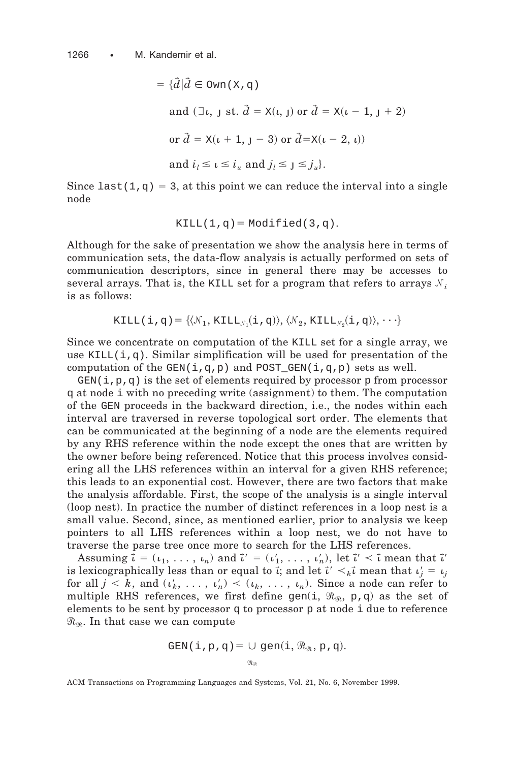$$
= \{\vec{d} | \vec{d} \in \text{Own}(X, q)
$$
  
and  $(\exists \iota, j \text{ st. } \vec{d} = X(\iota, j) \text{ or } \vec{d} = X(\iota - 1, j + 2)$   
or  $\vec{d} = X(\iota + 1, j - 3) \text{ or } \vec{d} = X(\iota - 2, \iota)$   
and  $i_l \le \iota \le i_u$  and  $j_l \le j \le j_u$ .

Since last(1,q) = 3, at this point we can reduce the interval into a single node

$$
KILL(1,q) = Modified(3,q).
$$

Although for the sake of presentation we show the analysis here in terms of communication sets, the data-flow analysis is actually performed on sets of communication descriptors, since in general there may be accesses to several arrays. That is, the KILL set for a program that refers to arrays  $N_i$ is as follows:

$$
\texttt{KILL}(\texttt{i},\texttt{q}) = \{\langle \mathcal{N}_1, \, \texttt{KILL}_{\mathcal{N}_1}(\texttt{i},\texttt{q}) \rangle, \, \langle \mathcal{N}_2, \, \texttt{KILL}_{\mathcal{N}_2}(\texttt{i},\texttt{q}) \rangle, \, \cdots \}
$$

Since we concentrate on computation of the KILL set for a single array, we use KILL $(i, q)$ . Similar simplification will be used for presentation of the computation of the  $GEN(i,q,p)$  and  $POST\_GEN(i,q,p)$  sets as well.

 $GEN(i,p,q)$  is the set of elements required by processor p from processor q at node i with no preceding write (assignment) to them. The computation of the GEN proceeds in the backward direction, i.e., the nodes within each interval are traversed in reverse topological sort order. The elements that can be communicated at the beginning of a node are the elements required by any RHS reference within the node except the ones that are written by the owner before being referenced. Notice that this process involves considering all the LHS references within an interval for a given RHS reference; this leads to an exponential cost. However, there are two factors that make the analysis affordable. First, the scope of the analysis is a single interval (loop nest). In practice the number of distinct references in a loop nest is a small value. Second, since, as mentioned earlier, prior to analysis we keep pointers to all LHS references within a loop nest, we do not have to traverse the parse tree once more to search for the LHS references.

Assuming  $\vec{\iota} = (\iota_1, \ldots, \iota_n)$  and  $\vec{\iota}' = (\iota'_1, \ldots, \iota'_n)$ , let  $\vec{\iota}' < \vec{\iota}$  mean that  $\vec{\iota}'$ is lexicographically less than or equal to  $\vec{\iota}$ ; and let  $\vec{\iota}' \leq_k \vec{\iota}$  mean that  $\iota'_i = \iota_i$ for all  $j \leq k$ , and  $(i'_k, \ldots, i'_n) \leq (i_k, \ldots, i_n)$ . Since a node can refer to multiple RHS references, we first define gen(i,  $\mathcal{R}_{\mathcal{R}}$ , p,q) as the set of elements to be sent by processor q to processor p at node i due to reference  $\mathcal{R}_{\mathcal{R}}$ . In that case we can compute

$$
\texttt{GEN}(i,p,q) = \cup \texttt{gen}(i,\mathcal{R}_\mathcal{R},p,q).
$$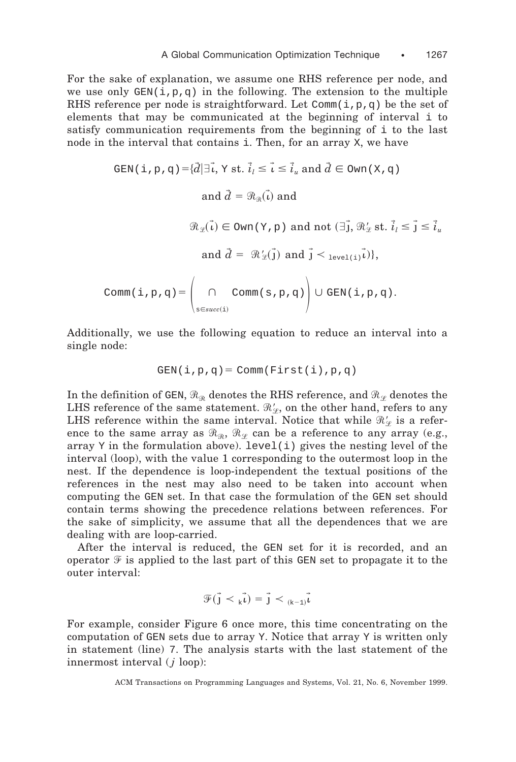For the sake of explanation, we assume one RHS reference per node, and we use only  $GEN(i,p,q)$  in the following. The extension to the multiple RHS reference per node is straightforward. Let  $Comm(i,p,q)$  be the set of elements that may be communicated at the beginning of interval i to satisfy communication requirements from the beginning of i to the last node in the interval that contains i. Then, for an array X, we have

$$
GEN(i, p, q) = {\vec{d}} | \exists \vec{i}, Y \text{ st. } \vec{i}_l \le \vec{i} \le \vec{i}_u \text{ and } \vec{d} \in Own(X, q)
$$
  
\nand  $\vec{d} = \Re_{\Re}(\vec{i})$  and  
\n
$$
\Re_{\mathcal{L}}(\vec{i}) \in Own(Y, p) \text{ and not } (\exists \vec{j}, \Re'_{\mathcal{L}} \text{ st. } \vec{i}_l \le \vec{j} \le \vec{i}_u
$$
  
\nand  $\vec{d} = \Re'_{\mathcal{L}}(\vec{j})$  and  $\vec{j} <_{level(i)} \vec{i}$ ),  
\n
$$
Comm(i, p, q) = \begin{pmatrix} 0 & \text{Comm}(s, p, q) \\ \text{se}^{(s)} & \text{sgn}(s, p, q) \end{pmatrix} \cup GEN(i, p, q).
$$

Additionally, we use the following equation to reduce an interval into a single node:

$$
GEN(i, p, q) = Comm(First(i), p, q)
$$

In the definition of GEN,  $\mathcal{R}_{\mathcal{R}}$  denotes the RHS reference, and  $\mathcal{R}_{\mathcal{L}}$  denotes the LHS reference of the same statement.  $\mathcal{R}'_{\mathscr{L}}$ , on the other hand, refers to any LHS reference within the same interval. Notice that while  $\Re'_{\mathscr{L}}$  is a reference to the same array as  $\mathcal{R}_{\mathcal{R}}$ ,  $\mathcal{R}_{\mathcal{L}}$  can be a reference to any array (e.g., array  $Y$  in the formulation above). level(i) gives the nesting level of the interval (loop), with the value 1 corresponding to the outermost loop in the nest. If the dependence is loop-independent the textual positions of the references in the nest may also need to be taken into account when computing the GEN set. In that case the formulation of the GEN set should contain terms showing the precedence relations between references. For the sake of simplicity, we assume that all the dependences that we are dealing with are loop-carried.

After the interval is reduced, the GEN set for it is recorded, and an operator  $\mathcal F$  is applied to the last part of this GEN set to propagate it to the outer interval:

$$
\mathscr{F}(\vec{j} \lt \vec{k}) = \vec{j} \lt \vec{k-1}
$$

For example, consider Figure 6 once more, this time concentrating on the computation of GEN sets due to array  $Y$ . Notice that array  $Y$  is written only in statement (line) 7. The analysis starts with the last statement of the innermost interval (*j* loop):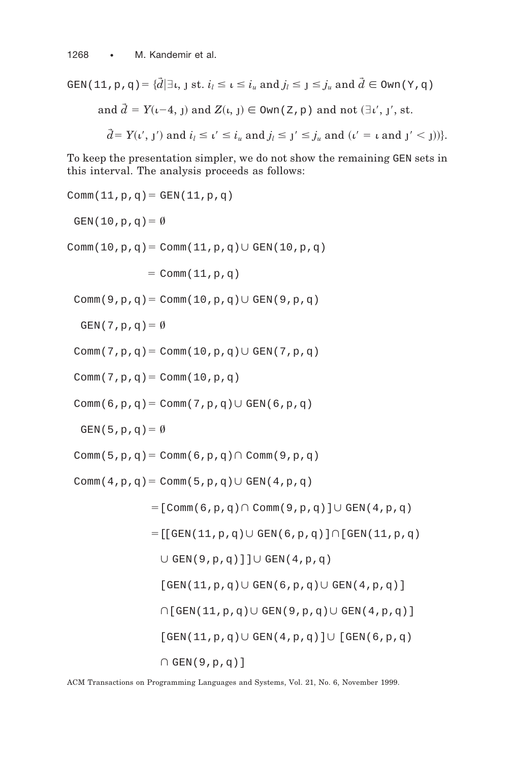GEN(11, p, q) =  $\{\vec{d} | \exists \iota, j \text{ st. } i_l \leq \iota \leq i_u \text{ and } j_l \leq j \leq j_u \text{ and } \vec{d} \in \text{Own}(Y, q)$ and  $\tilde{d} = Y(\iota-4, 1)$  and  $Z(\iota, 1) \in \text{Own}(Z, p)$  and not  $(\exists \iota', 1', \text{st.})$  $\vec{d} = Y(\iota', j')$  and  $i_l \leq \iota' \leq i_u$  and  $j_l \leq j' \leq j_u$  and  $(\iota' = \iota$  and  $j' \leq j)$ . To keep the presentation simpler, we do not show the remaining GEN sets in this interval. The analysis proceeds as follows:  $Comm(11,p,q) = GEN(11,p,q)$ GEN(10, p, q) =  $\emptyset$ Comm(10,  $p$ , $q$ ) = Comm(11, $p$ , $q$ )  $\cup$  GEN(10,  $p$ , $q$ )  $=$  Comm(11, p, q) Comm(9,  $p$ , $q$ ) = Comm(10,  $p$ , $q$ )  $\cup$  GEN(9,  $p$ , $q$ ) GEN(7, p, q) =  $\emptyset$ Comm(7, p, q) = Comm(10, p, q)  $\cup$  GEN(7, p, q)  $Comm(7,p,q) = Comm(10,p,q)$ Comm(6,p,q) = Comm(7,p,q) $\cup$  GEN(6,p,q)

GEN(5, p, q) =  $\emptyset$ 

Comm(5,  $p$ , $q$ ) = Comm(6,  $p$ , $q$ )  $\cap$  Comm(9,  $p$ , $q$ )

Comm(4,p,q) = Comm(5,p,q) $\cup$  GEN(4,p,q)

$$
= [\text{Comm}(6, p, q) \cap \text{Comm}(9, p, q)] \cup \text{GEN}(4, p, q)
$$
\n
$$
= [[\text{GEN}(11, p, q) \cup \text{GEN}(6, p, q)] \cap [\text{GEN}(11, p, q)]
$$
\n
$$
\cup \text{GEN}(9, p, q)] \cup \text{GEN}(4, p, q)
$$
\n
$$
[\text{GEN}(11, p, q) \cup \text{GEN}(6, p, q) \cup \text{GEN}(4, p, q)]
$$
\n
$$
\cap [\text{GEN}(11, p, q) \cup \text{GEN}(9, p, q) \cup \text{GEN}(4, p, q)]
$$
\n
$$
[\text{GEN}(11, p, q) \cup \text{GEN}(4, p, q)] \cup [\text{GEN}(6, p, q)]
$$
\n
$$
\cap \text{GEN}(9, p, q)]
$$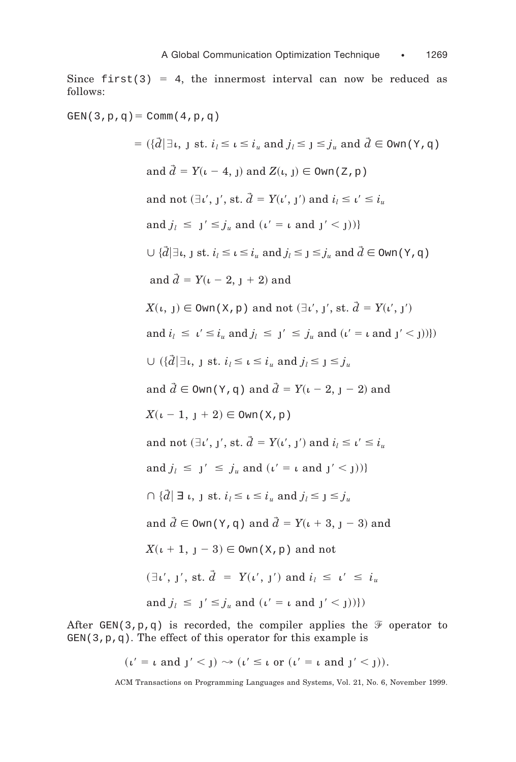Since  $first(3) = 4$ , the innermost interval can now be reduced as follows:

 $GEN(3,p,q) = Comm(4,p,q)$  $\vec{a} = (\{\vec{d} | \exists \iota, j \text{ st. } i_l \leq \iota \leq i_u \text{ and } j_l \leq j \leq j_u \text{ and } \vec{d} \in \text{Own}(Y, q)$ and  $\tilde{d} = Y(\iota - 4, 1)$  and  $Z(\iota, 1) \in \text{Own}(Z, p)$ and not  $(\exists \iota', \jmath', \text{st. } \tilde{d} = Y(\iota', \jmath')$  and  $i_l \leq \iota' \leq i_u$ and  $j_l \leq j' \leq j_u$  and  $(\iota' = \iota$  and  $j' \leq j)$  $\cup \{\vec{d} \mid \exists \iota, \jmath \text{ st. } i_l \leq \iota \leq i_u \text{ and } j_l \leq \jmath \leq j_u \text{ and } \vec{d} \in \text{Own}(Y, q)$ and  $\vec{d} = Y(\iota - 2, 1 + 2)$  and  $X(\iota, \mathbf{j}) \in \text{Own}(X, p)$  and not  $(\exists \iota', \mathbf{1}', \text{st. } \mathbf{d} = Y(\iota', \mathbf{1}'))$ and  $i_l \leq \iota' \leq i_u$  and  $j_l \leq j' \leq j_u$  and  $(\iota' = \iota$  and  $j' \leq j)$ }  $\cup$  ({ $\overrightarrow{d}$   $\vert \exists \iota, \iota \rbrace$  st.  $i_l \leq \iota \leq i_u$  and  $j_l \leq \iota \leq j_u$ and  $\tilde{d} \in$  Own(Y,q) and  $\tilde{d} = Y(\iota - 2, 1 - 2)$  and  $X(\iota - 1, 1 + 2) \in$  Own(X,p) and not  $(\exists \iota', \jmath', \text{st. } \tilde{d} = Y(\iota', \jmath')$  and  $i_l \leq \iota' \leq i_u$ and  $j_l \leq j' \leq j_u$  and  $(\iota' = \iota$  and  $j' \leq j)$  $\bigcap \{\mathbf{d} \mid \exists \iota, \mathbf{1} \text{ st. } i_1 \leq \iota \leq i_u \text{ and } j_1 \leq \iota \leq j_u\big\}$ and  $\vec{d} \in$  Own(Y,q) and  $\vec{d} = Y(\iota + 3, 1 - 3)$  and  $X(\iota + 1, 1 - 3) \in$  Own(X, p) and not  $(\exists i', 1', st. \tilde{d} = Y(i', 1'))$  and  $i_l \leq i' \leq i_u$ and  $j_l \leq j' \leq j_u$  and  $(\iota' = \iota$  and  $j' \leq j)$ })

After GEN(3, p, q) is recorded, the compiler applies the  $\mathcal F$  operator to  $GEN(3,p,q)$ . The effect of this operator for this example is

$$
(\iota' = \iota \text{ and } j' < j) \rightsquigarrow (\iota' \leq \iota \text{ or } (\iota' = \iota \text{ and } j' < j)).
$$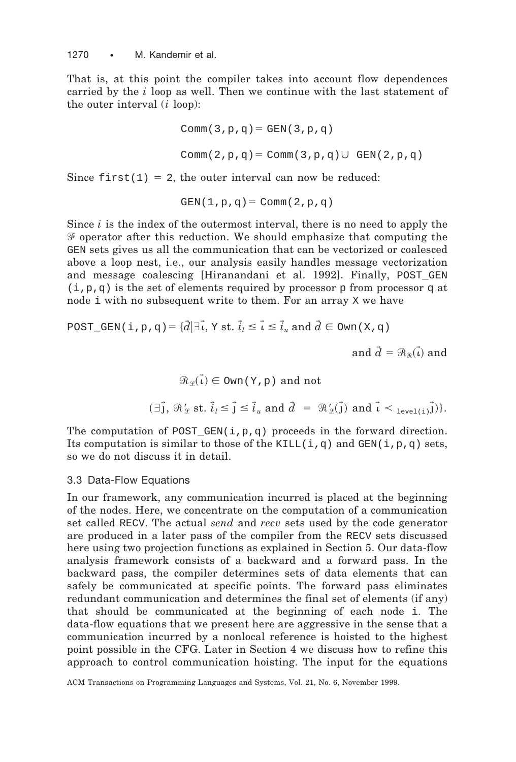That is, at this point the compiler takes into account flow dependences carried by the *i* loop as well. Then we continue with the last statement of the outer interval (*i* loop):

$$
Comm(3, p, q) = GEN(3, p, q)
$$
  
Comm(2, p, q) = Comm(3, p, q)  $\cup$  GEN(2, p, q)

Since  $first(1) = 2$ , the outer interval can now be reduced:

 $GEN(1,p,q) = Comm(2,p,q)$ 

Since  $i$  is the index of the outermost interval, there is no need to apply the  $\mathcal F$  operator after this reduction. We should emphasize that computing the GEN sets gives us all the communication that can be vectorized or coalesced above a loop nest, i.e., our analysis easily handles message vectorization and message coalescing [Hiranandani et al. 1992]. Finally, POST\_GEN  $(i, p, q)$  is the set of elements required by processor p from processor q at node i with no subsequent write to them. For an array X we have

$$
\text{POST\_GEN}(i, p, q) = \{\vec{d} | \exists \vec{i}, \forall \text{ st. } \vec{i}_l \le \vec{i} \le \vec{i}_u \text{ and } \vec{d} \in \text{ Own}(X, q)
$$

and  $\vec{d} = \mathcal{R}_{\mathcal{R}}(\vec{\iota})$  and

 $\mathfrak{R}_{\mathscr{L}}(\vec{\iota})\in$  Own(Y,p) and not

 $(\exists \vec{j}, \mathcal{R}_{\mathcal{L}}' \text{ st. } \vec{i}_l \leq \vec{j} \leq \vec{i}_u \text{ and } \vec{d} = \mathcal{R}_{\mathcal{L}}'(\vec{j}) \text{ and } \vec{i} <_{\text{level}(i)} \vec{j}).$ 

The computation of  $POST\_GEN(i,p,q)$  proceeds in the forward direction. Its computation is similar to those of the KILL $(i,q)$  and GEN $(i,p,q)$  sets, so we do not discuss it in detail.

## 3.3 Data-Flow Equations

In our framework, any communication incurred is placed at the beginning of the nodes. Here, we concentrate on the computation of a communication set called RECV. The actual *send* and *recv* sets used by the code generator are produced in a later pass of the compiler from the RECV sets discussed here using two projection functions as explained in Section 5. Our data-flow analysis framework consists of a backward and a forward pass. In the backward pass, the compiler determines sets of data elements that can safely be communicated at specific points. The forward pass eliminates redundant communication and determines the final set of elements (if any) that should be communicated at the beginning of each node i. The data-flow equations that we present here are aggressive in the sense that a communication incurred by a nonlocal reference is hoisted to the highest point possible in the CFG. Later in Section 4 we discuss how to refine this approach to control communication hoisting. The input for the equations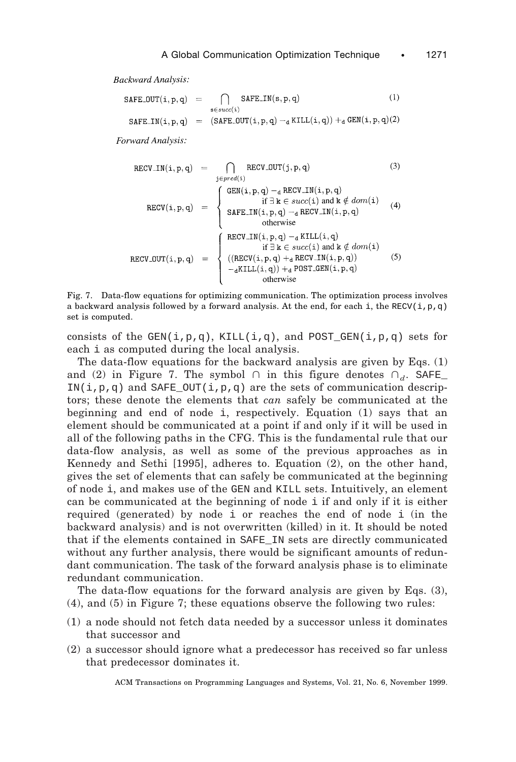**Backward Analysis:** 

$$
SAFE\_OUT(i, p, q) = \bigcap_{s \in succ(i)} SAFE\_IN(s, p, q) \tag{1}
$$
\n
$$
SAFE\_IN(i, p, q) = (SAFE\_OUT(i, p, q) -_d KILL(i, q)) +_d GEN(i, p, q) \tag{2}
$$

Forward Analysis:

$$
\begin{array}{rcl} \texttt{RECV\_IN}(i,p,q) & = & \bigcap_{j \in pred(i)} \texttt{RECV\_OUT}(j,p,q) & (3) \\ & & \\ \texttt{RECV}(i,p,q) & = & \begin{cases} \texttt{GEN}(i,p,q) -_d \texttt{RECV\_IN}(i,p,q) & (4) \\ & \texttt{if } \exists \ k \in succ(i) \text{ and } k \notin dom(i) \\ & \texttt{SAFE\_IN}(i,p,q) -_d \texttt{RECV\_IN}(i,p,q) \\ & \texttt{otherwise} \end{cases} & (4) \\ \texttt{RECV\_OUT}(i,p,q) & = & \begin{cases} \texttt{RECV\_IN}(i,p,q) -_d \texttt{KILL}(i,q) & (5) \\ & \texttt{if } \exists \ k \in succ(i) \text{ and } k \notin dom(i) \\ & \texttt{if } \exists \ k \in succ(i) \text{ and } k \notin dom(i) \\ & \texttt{defive} \end{cases} \end{array}
$$

Fig. 7. Data-flow equations for optimizing communication. The optimization process involves a backward analysis followed by a forward analysis. At the end, for each i, the RECV(i,p,q) set is computed.

consists of the GEN(i,p,q), KILL(i,q), and POST\_GEN(i,p,q) sets for each i as computed during the local analysis.

The data-flow equations for the backward analysis are given by Eqs.  $(1)$ and (2) in Figure 7. The symbol  $\cap$  in this figure denotes  $\cap_d$ . SAFE\_ IN(i,p,q) and SAFE\_OUT(i,p,q) are the sets of communication descriptors; these denote the elements that *can* safely be communicated at the beginning and end of node i, respectively. Equation (1) says that an element should be communicated at a point if and only if it will be used in all of the following paths in the CFG. This is the fundamental rule that our data-flow analysis, as well as some of the previous approaches as in Kennedy and Sethi [1995], adheres to. Equation (2), on the other hand, gives the set of elements that can safely be communicated at the beginning of node i, and makes use of the GEN and KILL sets. Intuitively, an element can be communicated at the beginning of node i if and only if it is either required (generated) by node i or reaches the end of node i (in the backward analysis) and is not overwritten (killed) in it. It should be noted that if the elements contained in SAFE\_IN sets are directly communicated without any further analysis, there would be significant amounts of redundant communication. The task of the forward analysis phase is to eliminate redundant communication.

The data-flow equations for the forward analysis are given by Eqs. (3), (4), and (5) in Figure 7; these equations observe the following two rules:

- (1) a node should not fetch data needed by a successor unless it dominates that successor and
- (2) a successor should ignore what a predecessor has received so far unless that predecessor dominates it.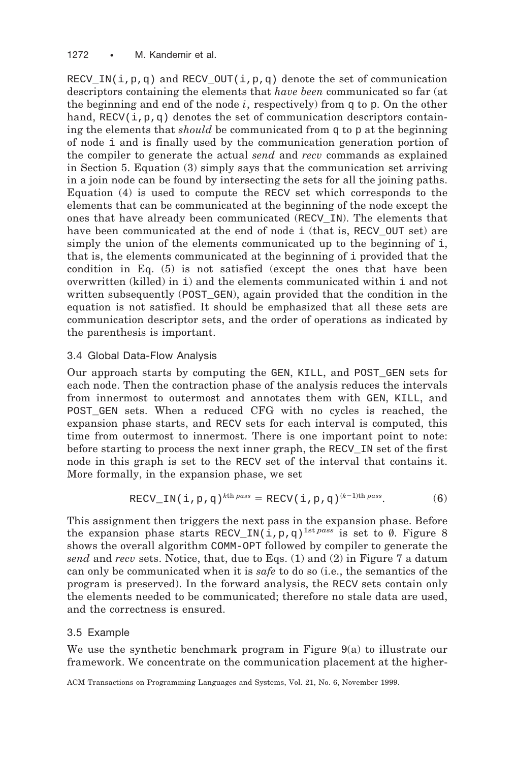RECV\_IN(i,p,q) and RECV\_OUT(i,p,q) denote the set of communication descriptors containing the elements that *have been* communicated so far (at the beginning and end of the node  $i$ , respectively) from  $q$  to  $p$ . On the other hand, RECV(i, p,q) denotes the set of communication descriptors containing the elements that *should* be communicated from q to p at the beginning of node i and is finally used by the communication generation portion of the compiler to generate the actual *send* and *recv* commands as explained in Section 5. Equation (3) simply says that the communication set arriving in a join node can be found by intersecting the sets for all the joining paths. Equation (4) is used to compute the RECV set which corresponds to the elements that can be communicated at the beginning of the node except the ones that have already been communicated (RECV\_IN). The elements that have been communicated at the end of node i (that is, RECV\_OUT set) are simply the union of the elements communicated up to the beginning of  $\mathbf{i}$ , that is, the elements communicated at the beginning of i provided that the condition in Eq. (5) is not satisfied (except the ones that have been overwritten (killed) in i) and the elements communicated within i and not written subsequently (POST\_GEN), again provided that the condition in the equation is not satisfied. It should be emphasized that all these sets are communication descriptor sets, and the order of operations as indicated by the parenthesis is important.

## 3.4 Global Data-Flow Analysis

Our approach starts by computing the GEN, KILL, and POST\_GEN sets for each node. Then the contraction phase of the analysis reduces the intervals from innermost to outermost and annotates them with GEN, KILL, and POST\_GEN sets. When a reduced CFG with no cycles is reached, the expansion phase starts, and RECV sets for each interval is computed, this time from outermost to innermost. There is one important point to note: before starting to process the next inner graph, the RECV\_IN set of the first node in this graph is set to the RECV set of the interval that contains it. More formally, in the expansion phase, we set

$$
RECV\_IN(i, p, q)^{kth \, pass} = RECV(i, p, q)^{(k-1)th \, pass}.
$$
 (6)

This assignment then triggers the next pass in the expansion phase. Before the expansion phase starts  $RECV_IN(i,p,q)$ <sup>1st *pass* is set to  $\emptyset$ . Figure 8</sup> shows the overall algorithm COMM-OPT followed by compiler to generate the *send* and *recv* sets. Notice, that, due to Eqs. (1) and (2) in Figure 7 a datum can only be communicated when it is *safe* to do so (i.e., the semantics of the program is preserved). In the forward analysis, the RECV sets contain only the elements needed to be communicated; therefore no stale data are used, and the correctness is ensured.

## 3.5 Example

We use the synthetic benchmark program in Figure 9(a) to illustrate our framework. We concentrate on the communication placement at the higher-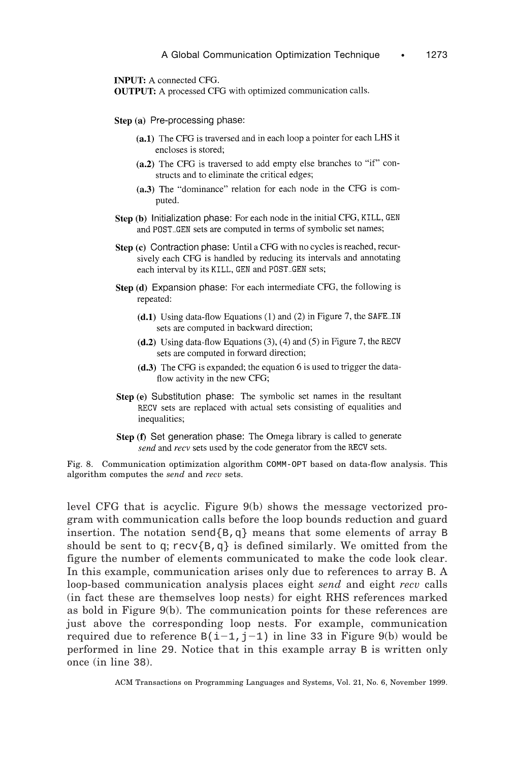**INPUT:** A connected CFG.

**OUTPUT:** A processed CFG with optimized communication calls.

Step (a) Pre-processing phase:

- (a.1) The CFG is traversed and in each loop a pointer for each LHS it encloses is stored;
- (a.2) The CFG is traversed to add empty else branches to "if" constructs and to eliminate the critical edges;
- (a.3) The "dominance" relation for each node in the CFG is computed.
- Step (b) Initialization phase: For each node in the initial CFG, KILL, GEN and POST\_GEN sets are computed in terms of symbolic set names;
- Step (c) Contraction phase: Until a CFG with no cycles is reached, recursively each CFG is handled by reducing its intervals and annotating each interval by its KILL, GEN and POST\_GEN sets;
- Step (d) Expansion phase: For each intermediate CFG, the following is repeated:
	- $(d.1)$  Using data-flow Equations (1) and (2) in Figure 7, the SAFE\_IN sets are computed in backward direction;
	- (d.2) Using data-flow Equations (3), (4) and (5) in Figure 7, the RECV sets are computed in forward direction;
	- (d.3) The CFG is expanded; the equation 6 is used to trigger the dataflow activity in the new CFG;
- Step (e) Substitution phase: The symbolic set names in the resultant RECV sets are replaced with actual sets consisting of equalities and inequalities;
- Step (f) Set generation phase: The Omega library is called to generate send and recv sets used by the code generator from the RECV sets.

Fig. 8. Communication optimization algorithm COMM-OPT based on data-flow analysis. This algorithm computes the *send* and *recv* sets.

level CFG that is acyclic. Figure 9(b) shows the message vectorized program with communication calls before the loop bounds reduction and guard insertion. The notation send  $\{B,q\}$  means that some elements of array B should be sent to q;  $\text{recv}\{B,q\}$  is defined similarly. We omitted from the figure the number of elements communicated to make the code look clear. In this example, communication arises only due to references to array B. A loop-based communication analysis places eight *send* and eight *recv* calls (in fact these are themselves loop nests) for eight RHS references marked as bold in Figure 9(b). The communication points for these references are just above the corresponding loop nests. For example, communication required due to reference  $B(i-1,j-1)$  in line 33 in Figure 9(b) would be performed in line 29. Notice that in this example array B is written only once (in line 38).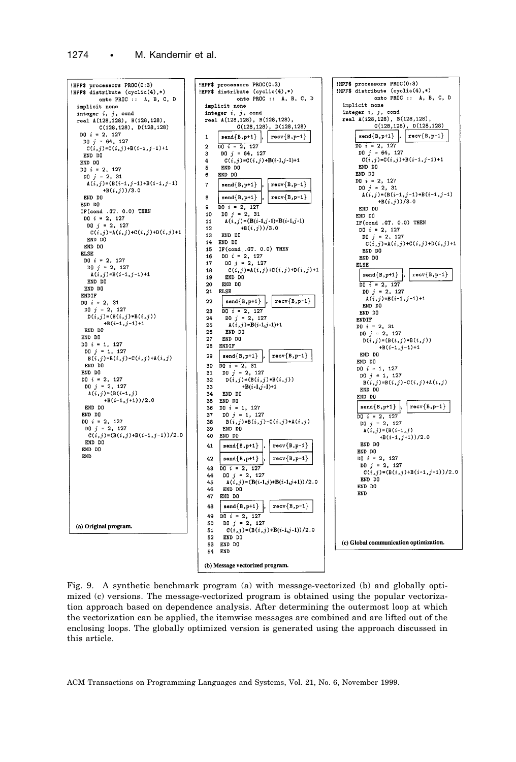!HPF\$ processors PROC(0:3) !HPF\$ distribute (cyclic(4),\*) onto PROC :: A, B, C, D implicit none integer  $i$ ,  $j$ , cond<br>real A(128,128), B(128,128)  $C(128, 128)$ ,  $D(128, 128)$  $D0$   $i = 2, 127$  $\mathbf{1}$ DO  $i = 64, 127$  $C(i,j)=C(i,j)+B(i-1,j-1)+1$  $\overline{2}$ 3 END DO 4 END DD END DO 5  $D0$   $i = 2, 127$ END DO DO  $j = 2, 31$ 6  $A(i,j)=(B(i-1,j-1)+B(i-1,j-1)$  $\overline{7}$  $+B(i,j))/3.0$ END DO 8 END DO 9 IF(cond .GT. 0.0) THEN 10 DO  $i = 2, 127$  $11$  $D0$   $i = 2$ , 127 12  $C(i,j)=A(i,j)+C(i,j)+D(i,j)+1$ 13 END DO END DO 14 END DO 15 **ELSE** 16  $D0 i = 2, 127$ 17 DD  $j = 2, 127$ <br> $A(i,j)=B(i-1,j-1)+1$ 18 19 END DO 20 END DO  $21$  ELSE ENDIF  $22\,$ DO  $i = 2, 31$  $D0 \neq 2.127$  $23$  $D(i,j)=(B(i,j)*B(i,j))$ 24  $+B(i-1,j-1)+1$ 25 END DO 26 END DO  $27$  $D0$   $i = 1, 127$  ${\tt ENDIF}$ 28  $D0 j = 1, 127$  ${\bf 29}$  $B(i,j)=B(i,j)-C(i,j)+A(i,j)$ END DO 30 END DO  $31$  $D0 i = 2, 127$ 32 DO  $j = 2, 127$ 33  $\mathtt{A}(i,j)$  = (B(i-1,j) 34  $+ B(i-1,j+1))/2.0$ 35 END DO END DO 36 END DO  $37$  $D0$   $i = 2, 127$ 38 DD  $i = 2, 127$ 39  $C(i, j) = (B(i, j) + B(i-1, j-1))/2.0$ END DO 40 END DO  $41$ END DO **END** 42 43 44 45 46 47 END DO 48 49 50 (a) Original program. 51 52 53 END DO



!HPF\$ processors PROC(0:3) !HPF\$ distribute  $(cyclic(4), *)$ onto PROC :: A, B, C, D implicit none integer  $i$ ,  $j$ , cond real A(128,128), B(128,128),  $C(128, 128)$ ,  $D(128, 128)$  $\mathsf{send}\{\mathsf{B},\mathsf{p+1}\}$ ,  $\mathsf{recv}\{\mathsf{B},\mathsf{p-1}\}$  $\overline{D0 i} = 2, 127$ DO  $j = 64$ , 127  $C(i,j) = C(i,j) + B(i-1,j-1) + 1$ END DO END DO  $D0$   $i = 2$ , 127 DO  $i = 2, 31$  $A(i,j)=(B(i-1,j-1)+B(i-1,j-1))$  $+B(i,j)/3.0$ END DD RND DO IF(cond .GT. 0.0) THEN  $DD i = 2, 127$ DO  $j = 2, 127$  $C(i,j)=A(i,j)+C(i,j)+D(i,j)+1$ END DO END DO ELSE  $send{B,p+1}$ ,  $recv{B,p-1}$  $D0$   $i = 2, 127$ DO  $j = 2, 127$  $A(i,j)=B(i-1,j-1)+1$ END DO RND DO ENDIF DD  $i = 2, 31$ DO  $j = 2, 127$  $D(i,j)=(B(i,j)*B(i,j))$  $+B(i-1,j-1)+1$ END DO END DO DO  $i = 1, 127$ DO  $j = 1, 127$ <br>B(i,j)=B(i,j)-C(i,j)+A(i,j) END DO END DO  $send{B,p+1}$  $\texttt{recv} \{B, p-1\}$  $D0$   $i = 2, 127$  $D0$   $i = 2, 127$  $A(i,j)=(B(i-1,j))$  $+B(i-1,j+1))/2.0$ **RND DO** END DD DO  $i = 2, 127$  $D0 j = 2, 127$  $C(i,j) = (B(i,j) + B(i-1,j-1))/2.0$ END DO END DO **END** (c) Global communication optimization.

Fig. 9. A synthetic benchmark program (a) with message-vectorized (b) and globally optimized (c) versions. The message-vectorized program is obtained using the popular vectorization approach based on dependence analysis. After determining the outermost loop at which the vectorization can be applied, the itemwise messages are combined and are lifted out of the enclosing loops. The globally optimized version is generated using the approach discussed in this article.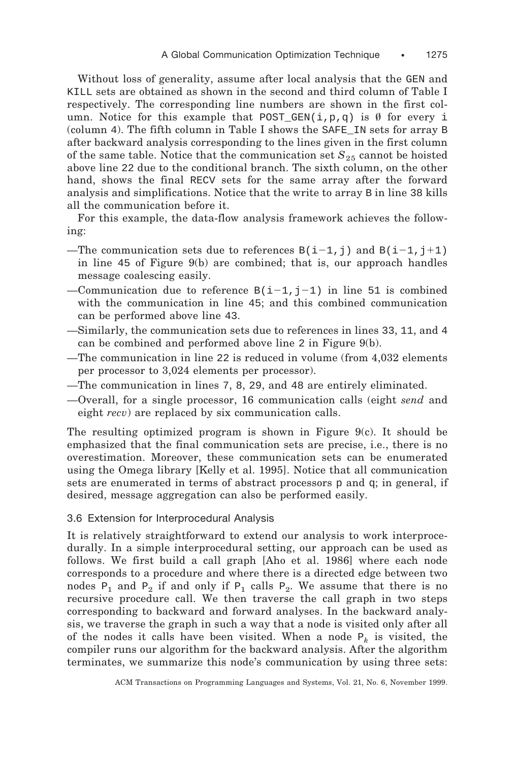Without loss of generality, assume after local analysis that the GEN and KILL sets are obtained as shown in the second and third column of Table I respectively. The corresponding line numbers are shown in the first column. Notice for this example that  $POST\_GEN(i, p, q)$  is  $\emptyset$  for every i (column 4). The fifth column in Table I shows the SAFE\_IN sets for array B after backward analysis corresponding to the lines given in the first column of the same table. Notice that the communication set  $S_{25}$  cannot be hoisted above line 22 due to the conditional branch. The sixth column, on the other hand, shows the final RECV sets for the same array after the forward analysis and simplifications. Notice that the write to array B in line 38 kills all the communication before it.

For this example, the data-flow analysis framework achieves the following:

- —The communication sets due to references  $B(i-1,j)$  and  $B(i-1,j+1)$ in line 45 of Figure 9(b) are combined; that is, our approach handles message coalescing easily.
- —Communication due to reference  $B(i-1,j-1)$  in line 51 is combined with the communication in line 45; and this combined communication can be performed above line 43.
- —Similarly, the communication sets due to references in lines 33, 11, and 4 can be combined and performed above line 2 in Figure 9(b).
- —The communication in line 22 is reduced in volume (from 4,032 elements per processor to 3,024 elements per processor).
- —The communication in lines 7, 8, 29, and 48 are entirely eliminated.
- —Overall, for a single processor, 16 communication calls (eight *send* and eight *recv*) are replaced by six communication calls.

The resulting optimized program is shown in Figure  $9(c)$ . It should be emphasized that the final communication sets are precise, i.e., there is no overestimation. Moreover, these communication sets can be enumerated using the Omega library [Kelly et al. 1995]. Notice that all communication sets are enumerated in terms of abstract processors p and q; in general, if desired, message aggregation can also be performed easily.

### 3.6 Extension for Interprocedural Analysis

It is relatively straightforward to extend our analysis to work interprocedurally. In a simple interprocedural setting, our approach can be used as follows. We first build a call graph [Aho et al. 1986] where each node corresponds to a procedure and where there is a directed edge between two nodes  $P_1$  and  $P_2$  if and only if  $P_1$  calls  $P_2$ . We assume that there is no recursive procedure call. We then traverse the call graph in two steps corresponding to backward and forward analyses. In the backward analysis, we traverse the graph in such a way that a node is visited only after all of the nodes it calls have been visited. When a node  $P_k$  is visited, the compiler runs our algorithm for the backward analysis. After the algorithm terminates, we summarize this node's communication by using three sets: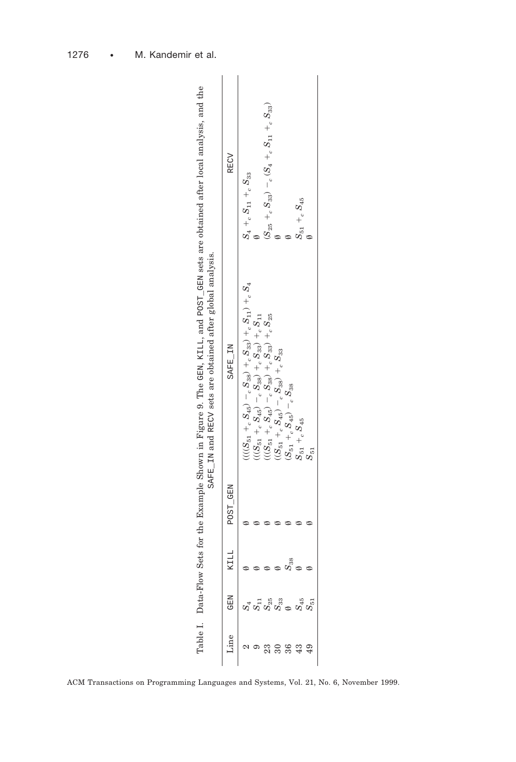|                                                                                                                                                                             | RECV     | $(S_{25} +_{c} S_{33}) -_{c} (S_{4} +_{c} S_{11} +_{c} S_{33})$<br>$S_4$ + $_c$ $S_{11}$ + $_c$ $S_{33}$<br>$S_{51} +_c S_{45}$                                                                                                                                                                                       |
|-----------------------------------------------------------------------------------------------------------------------------------------------------------------------------|----------|-----------------------------------------------------------------------------------------------------------------------------------------------------------------------------------------------------------------------------------------------------------------------------------------------------------------------|
| for the Example Shown in Figure 9. The GEN, KILL, and POST_GEN sets are obtained after local analysis, and the<br>SAFE_IN and RECV sets are obtained after global analysis. | SAFE_IN  | $(((S_{51} +_{c} S_{45}) -_{c} S_{38}) +_{c} S_{33}) +_{c} S_{11}) +_{c} S_{4}$<br>$((S_{51} +_c S_{45}) -_c S_{38}) +_c S_{33}) +_c S_{11}$<br>$((S_{51} +_c S_{45}) -_c S_{38}) +_c S_{33}) +_c S_{25}$<br>$(S_{51} +_c S_{45}) -_c S_{38}) +_c S_{33}$<br>$(S_{51} +_c S_{45}) -_c S_{38}$<br>$S_{51} + _c S_{45}$ |
|                                                                                                                                                                             | POST GEN |                                                                                                                                                                                                                                                                                                                       |
| Sets                                                                                                                                                                        |          |                                                                                                                                                                                                                                                                                                                       |
| $Bf_{B-}$ $H'$ <sub>0</sub> $W$                                                                                                                                             |          | $5_{25}$<br>ر<br>33                                                                                                                                                                                                                                                                                                   |
| ahle                                                                                                                                                                        |          | 3<br>3<br>3<br>3<br>3<br>3<br>4                                                                                                                                                                                                                                                                                       |

| ACM Transactions on Programming Languages and Systems, Vol. 21, No. 6, November 1999. |  |
|---------------------------------------------------------------------------------------|--|
|---------------------------------------------------------------------------------------|--|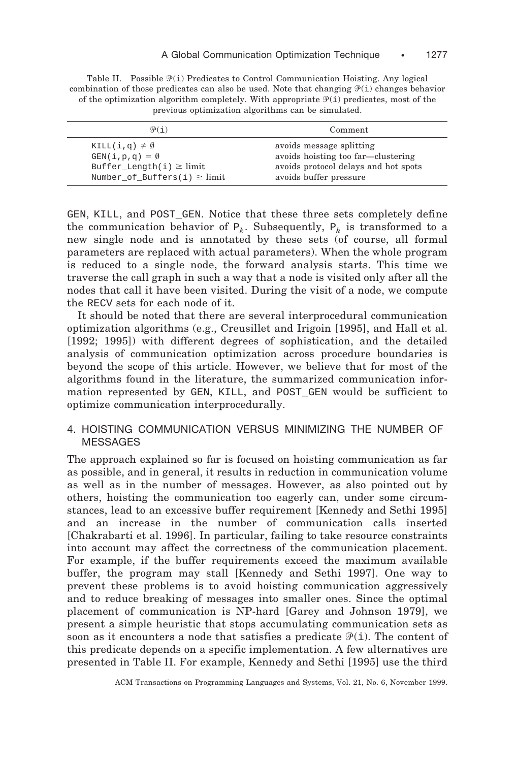| Table II. Possible $\mathcal{P}(i)$ Predicates to Control Communication Hoisting. Any logical          |
|--------------------------------------------------------------------------------------------------------|
| combination of those predicates can also be used. Note that changing $\mathcal{P}(i)$ changes behavior |
| of the optimization algorithm completely. With appropriate $\mathcal{P}(i)$ predicates, most of the    |
| previous optimization algorithms can be simulated.                                                     |

| $\mathcal{P}(i)$                 | Comment                              |
|----------------------------------|--------------------------------------|
| KILL $(i, q) \neq \emptyset$     | avoids message splitting             |
| $GEN(i, p, q) = \emptyset$       | avoids hoisting too far—clustering   |
| Buffer Length $(i) \geq$ limit   | avoids protocol delays and hot spots |
| Number_of_Buffers(i) $\ge$ limit | avoids buffer pressure               |

GEN, KILL, and POST\_GEN. Notice that these three sets completely define the communication behavior of  $P_k$ . Subsequently,  $P_k$  is transformed to a new single node and is annotated by these sets (of course, all formal parameters are replaced with actual parameters). When the whole program is reduced to a single node, the forward analysis starts. This time we traverse the call graph in such a way that a node is visited only after all the nodes that call it have been visited. During the visit of a node, we compute the RECV sets for each node of it.

It should be noted that there are several interprocedural communication optimization algorithms (e.g., Creusillet and Irigoin [1995], and Hall et al. [1992; 1995]) with different degrees of sophistication, and the detailed analysis of communication optimization across procedure boundaries is beyond the scope of this article. However, we believe that for most of the algorithms found in the literature, the summarized communication information represented by GEN, KILL, and POST\_GEN would be sufficient to optimize communication interprocedurally.

## 4. HOISTING COMMUNICATION VERSUS MINIMIZING THE NUMBER OF MESSAGES

The approach explained so far is focused on hoisting communication as far as possible, and in general, it results in reduction in communication volume as well as in the number of messages. However, as also pointed out by others, hoisting the communication too eagerly can, under some circumstances, lead to an excessive buffer requirement [Kennedy and Sethi 1995] and an increase in the number of communication calls inserted [Chakrabarti et al. 1996]. In particular, failing to take resource constraints into account may affect the correctness of the communication placement. For example, if the buffer requirements exceed the maximum available buffer, the program may stall [Kennedy and Sethi 1997]. One way to prevent these problems is to avoid hoisting communication aggressively and to reduce breaking of messages into smaller ones. Since the optimal placement of communication is NP-hard [Garey and Johnson 1979], we present a simple heuristic that stops accumulating communication sets as soon as it encounters a node that satisfies a predicate  $\mathcal{P}(i)$ . The content of this predicate depends on a specific implementation. A few alternatives are presented in Table II. For example, Kennedy and Sethi [1995] use the third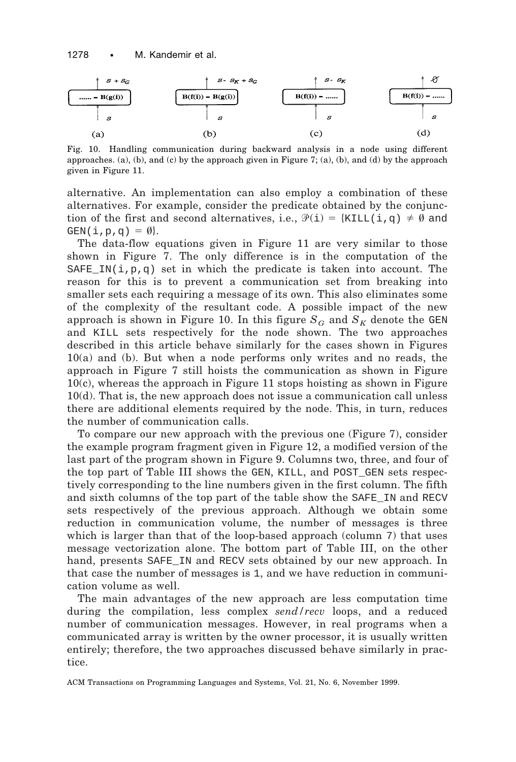

Fig. 10. Handling communication during backward analysis in a node using different approaches. (a), (b), and (c) by the approach given in Figure 7; (a), (b), and (d) by the approach given in Figure 11.

alternative. An implementation can also employ a combination of these alternatives. For example, consider the predicate obtained by the conjunction of the first and second alternatives, i.e.,  $\mathcal{P}(i) = {KILL(i,q) \neq \emptyset}$  and GEN(i, p, q) =  $\emptyset$ .

The data-flow equations given in Figure 11 are very similar to those shown in Figure 7. The only difference is in the computation of the SAFE\_IN(i,p,q) set in which the predicate is taken into account. The reason for this is to prevent a communication set from breaking into smaller sets each requiring a message of its own. This also eliminates some of the complexity of the resultant code. A possible impact of the new approach is shown in Figure 10. In this figure  $S_G$  and  $S_K$  denote the GEN and KILL sets respectively for the node shown. The two approaches described in this article behave similarly for the cases shown in Figures 10(a) and (b). But when a node performs only writes and no reads, the approach in Figure 7 still hoists the communication as shown in Figure  $10(c)$ , whereas the approach in Figure 11 stops hoisting as shown in Figure 10(d). That is, the new approach does not issue a communication call unless there are additional elements required by the node. This, in turn, reduces the number of communication calls.

To compare our new approach with the previous one (Figure 7), consider the example program fragment given in Figure 12, a modified version of the last part of the program shown in Figure 9. Columns two, three, and four of the top part of Table III shows the GEN, KILL, and POST\_GEN sets respectively corresponding to the line numbers given in the first column. The fifth and sixth columns of the top part of the table show the SAFE\_IN and RECV sets respectively of the previous approach. Although we obtain some reduction in communication volume, the number of messages is three which is larger than that of the loop-based approach (column 7) that uses message vectorization alone. The bottom part of Table III, on the other hand, presents SAFE\_IN and RECV sets obtained by our new approach. In that case the number of messages is 1, and we have reduction in communication volume as well.

The main advantages of the new approach are less computation time during the compilation, less complex *send/recv* loops, and a reduced number of communication messages. However, in real programs when a communicated array is written by the owner processor, it is usually written entirely; therefore, the two approaches discussed behave similarly in practice.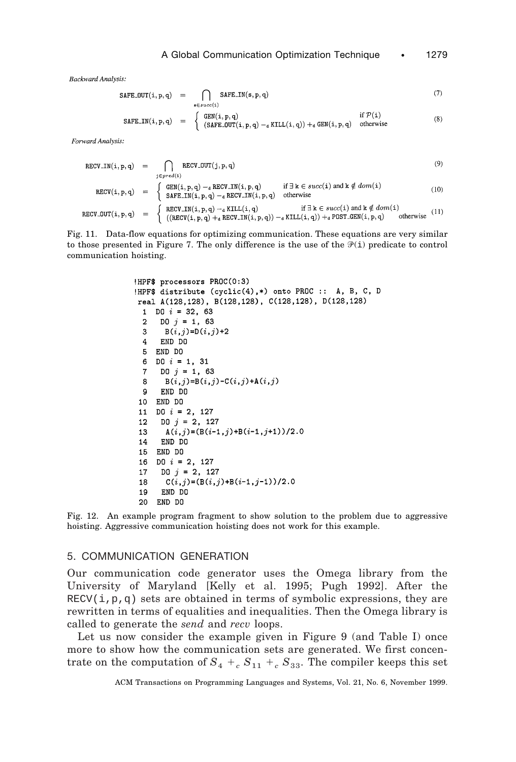**Backward Analysis:** 

$$
SAFE\_OUT(i, p, q) = \bigcap_{s \in succ(i)} SAFE\_IN(s, p, q) \tag{7}
$$

$$
\texttt{SAFE\_IN}(i, p, q) = \begin{cases} \texttt{GEN}(i, p, q) & \text{if } \mathcal{P}(i) \\ (\texttt{SAFE\_OUT}(i, p, q) -_{d} \texttt{KILL}(i, q)) +_{d} \texttt{GEN}(i, p, q) & \text{otherwise} \end{cases} \tag{8}
$$

Forward Analysis:

$$
RECV\_IN(i, p, q) = \bigcap_{j \in pred(i)} RECV\_OUT(j, p, q)
$$
\n
$$
RECV(i, p, q) = \begin{cases}\nGEN(i, p, q) -_d RECV\_IN(i, p, q) & \text{if } \exists k \in succ(i) \text{ and } k \notin dom(i) \\
SECV(i, p, q) -_d RECV\_IN(i, p, q) & \text{otherwise}\n\end{cases}
$$
\n
$$
RECV\_OUT(i, p, q) = \begin{cases}\nRECV\_IN(i, p, q) -_d KLL(i, q) & \text{if } \exists k \in succ(i) \text{ and } k \notin dom(i) \\
(RECV\_IN(i, p, q) -_d KLL(i, q)) -_d KLL(i, q)) +_d POST\_GEN(i, p, q) & \text{otherwise}\n\end{cases}
$$
\n
$$
(11)
$$

Fig. 11. Data-flow equations for optimizing communication. These equations are very similar to those presented in Figure 7. The only difference is the use of the  $\mathcal{P}(i)$  predicate to control communication hoisting.

```
!HPF$ processors PROC(0:3)
!HPF$ distribute (cyclic(4),*) onto PROC :: A, B, C, D
real A(128,128), B(128,128), C(128,128), D(128,128)
 1 DO i = 32, 63DO j = 1, 63\overline{2}3
     B(i,j)=D(i,j)+2\overline{4}END DO
  5 END DO
  6 DO i = 1, 31\overline{7}DO i = 1, 63B(i,j)=B(i,j)-C(i,j)+A(i,j)8
     END DO
 9
10 END DO
11 DO i = 2, 127
 12DO j = 2, 127
 13
      A(i, j) = (B(i-1, j) + B(i-1, j+1))/2.0END DO
 14
15 END DO
 16 DO i = 2, 127DO j = 2, 12717
       C(i,j)=(B(i,j)+B(i-1,j-1))/2.018
     END DO
 19
 20 END DO
```
Fig. 12. An example program fragment to show solution to the problem due to aggressive hoisting. Aggressive communication hoisting does not work for this example.

#### 5. COMMUNICATION GENERATION

Our communication code generator uses the Omega library from the University of Maryland [Kelly et al. 1995; Pugh 1992]. After the  $RECV(i,p,q)$  sets are obtained in terms of symbolic expressions, they are rewritten in terms of equalities and inequalities. Then the Omega library is called to generate the *send* and *recv* loops.

Let us now consider the example given in Figure 9 (and Table I) once more to show how the communication sets are generated. We first concentrate on the computation of  $S_4 +_{c} S_{11} +_{c} S_{33}$ . The compiler keeps this set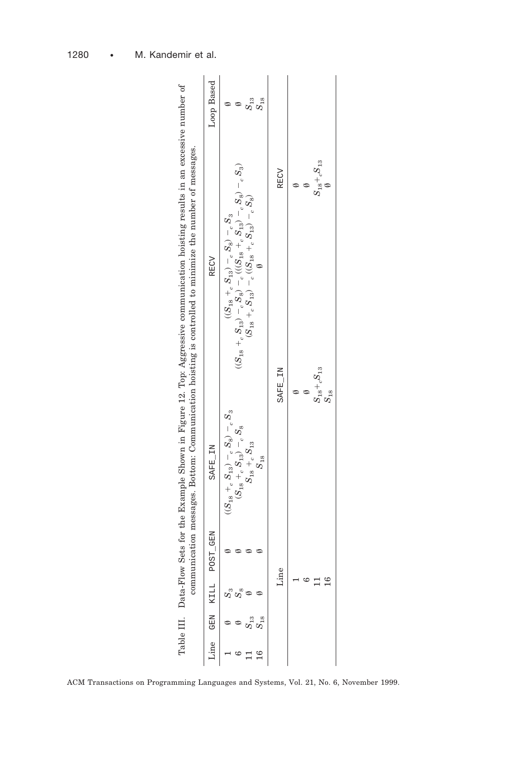|                                                                                                                                                                                                                                | Loop Based               |                                                                                                                            | $S_{13}$                                              | $S_{18}$ |         |  |                                                                                            |          |
|--------------------------------------------------------------------------------------------------------------------------------------------------------------------------------------------------------------------------------|--------------------------|----------------------------------------------------------------------------------------------------------------------------|-------------------------------------------------------|----------|---------|--|--------------------------------------------------------------------------------------------|----------|
| Data-Flow Sets for the Example Shown in Figure 12. Top: Aggressive communication hoisting results in an excessive number of<br>tion messages. Bottom: Communication hoisting is controlled to minimize the number of messages. | RECV                     | $(S_{18} + _c S_{13}) - _c S_8) - _c ((S_{18} + _c S_{13}) - _c S_8) - _c S_3)$<br>$((S_{18} +_c S_{13}) -_c S_8) -_c S_3$ | $(S_{18} +_c S_{13}) -_c (S_{18} +_c S_{13}) -_c S_8$ |          | RECV    |  | $S_{18}+S_{13}$ $\begin{array}{c} \vspace{2mm} \\ \vspace{2mm} \\ \varnothing \end{array}$ |          |
|                                                                                                                                                                                                                                |                          |                                                                                                                            |                                                       |          | SAFE_IN |  | $S_{18}+S_{13}$                                                                            | $S_{18}$ |
|                                                                                                                                                                                                                                | <b>SAFE_IN</b>           | $\left( \left( S_{18} +_{c} S_{13} \right) -_{c} S_{8} \right) =_{c} S_{3}$<br>$(S_{18} +_{c} S_{13}) -_{c} S_{8}$         | $S_{18} + _{c} S_{13}$                                | $S_{18}$ |         |  |                                                                                            |          |
| communica                                                                                                                                                                                                                      | NHC<br>CH<br><b>POST</b> |                                                                                                                            |                                                       |          | Line    |  |                                                                                            |          |
|                                                                                                                                                                                                                                | KILL                     |                                                                                                                            |                                                       |          |         |  |                                                                                            |          |
|                                                                                                                                                                                                                                | <b>NHD</b>               |                                                                                                                            | ני<br>כ                                               | $S_{18}$ |         |  |                                                                                            |          |
| Table III                                                                                                                                                                                                                      | Jine                     |                                                                                                                            |                                                       |          |         |  |                                                                                            |          |

| ACM Transactions on Programming Languages and Systems, Vol. 21, No. 6, November 1999. |  |
|---------------------------------------------------------------------------------------|--|
|---------------------------------------------------------------------------------------|--|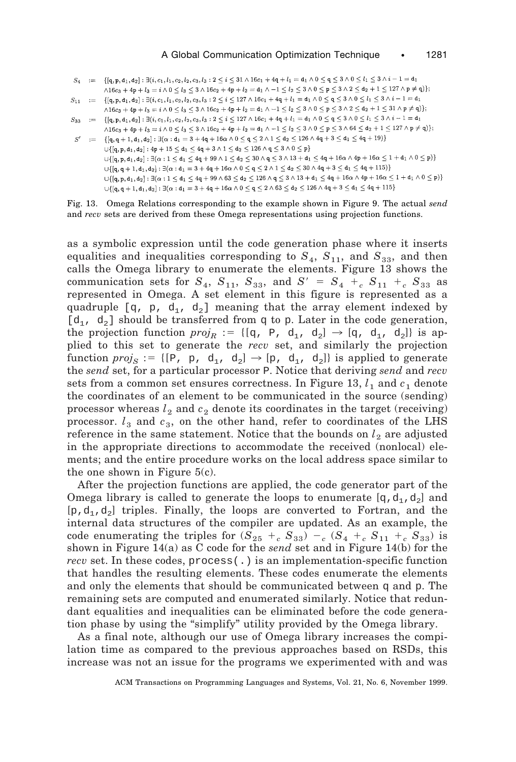

Fig. 13. Omega Relations corresponding to the example shown in Figure 9. The actual *send* and *recv* sets are derived from these Omega representations using projection functions.

as a symbolic expression until the code generation phase where it inserts equalities and inequalities corresponding to  $S_4$ ,  $S_{11}$ , and  $S_{33}$ , and then calls the Omega library to enumerate the elements. Figure 13 shows the communication sets for  $S_4$ ,  $S_{11}$ ,  $S_{33}$ , and  $S' = S_4 +_{c} S_{11} +_{c} S_{33}$  as represented in Omega. A set element in this figure is represented as a quadruple  $[q, p, d_1, d_2]$  meaning that the array element indexed by  $[d_1, d_2]$  should be transferred from q to p. Later in the code generation, the projection function  $proj_R := \{ [q, p, d_1, d_2] \rightarrow [q, d_1, d_2] \}$  is applied to this set to generate the *recv* set, and similarly the projection function *proj<sub>S</sub>* := {[P, p, d<sub>1</sub>, d<sub>2</sub>]  $\rightarrow$  [p, d<sub>1</sub>, d<sub>2</sub>]} is applied to generate the *send* set, for a particular processor P. Notice that deriving *send* and *recv* sets from a common set ensures correctness. In Figure 13,  $l_1$  and  $c_1$  denote the coordinates of an element to be communicated in the source (sending) processor whereas  $l_2$  and  $c_2$  denote its coordinates in the target (receiving) processor.  $l_3$  and  $c_3$ , on the other hand, refer to coordinates of the LHS reference in the same statement. Notice that the bounds on  $l_2$  are adjusted in the appropriate directions to accommodate the received (nonlocal) elements; and the entire procedure works on the local address space similar to the one shown in Figure 5(c).

After the projection functions are applied, the code generator part of the Omega library is called to generate the loops to enumerate  $[q, d_1, d_2]$  and  $[p, d_1, d_2]$  triples. Finally, the loops are converted to Fortran, and the internal data structures of the compiler are updated. As an example, the code enumerating the triples for  $(S_{25} +_{c} S_{33}) -_{c} (S_{4} +_{c} S_{11} +_{c} S_{33})$  is shown in Figure 14(a) as C code for the *send* set and in Figure 14(b) for the *recv* set. In these codes, process(.) is an implementation-specific function that handles the resulting elements. These codes enumerate the elements and only the elements that should be communicated between q and p. The remaining sets are computed and enumerated similarly. Notice that redundant equalities and inequalities can be eliminated before the code generation phase by using the "simplify" utility provided by the Omega library.

As a final note, although our use of Omega library increases the compilation time as compared to the previous approaches based on RSDs, this increase was not an issue for the programs we experimented with and was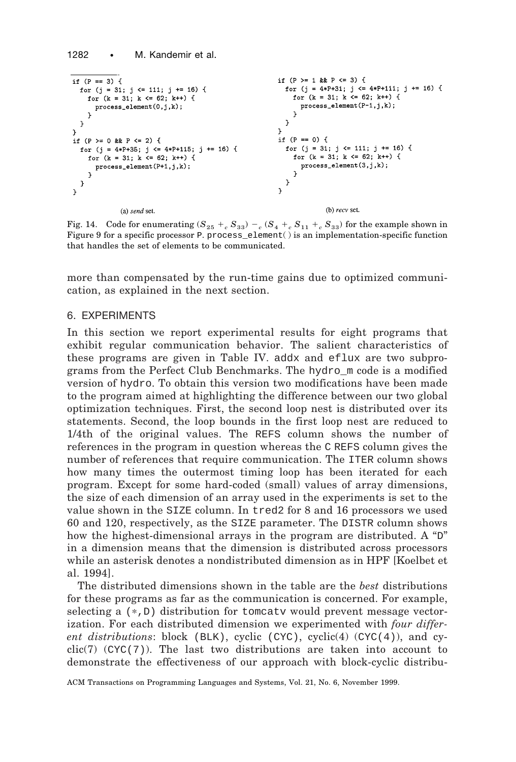```
if (P > = 1 && P \le 3) {
if (P == 3) {
                                                                      for (j = 4*P+31; j \le 4*P+111; j \ne 16) {
  for (j = 31; j \le 111; j \ne 16)for (k = 31; k \le 62; k++) {
    for (k = 31; k \le 62; k++) {
                                                                          process_element(P-1,j,k);
      process<sub>element</sub>(0,j,k);\rightarrow\rightarrow\mathbf{B}\mathbf{r}\ddot{\phantom{1}}\mathbf{r}if (P == 0) {
if (P > = 0 & P (= 2) {
  for (j = 4*P+35; j \le 4*P+115; j \ne 16) {
                                                                      for (j = 31; j \le 111; j \ne 16) {
                                                                        for (k = 31; k \le 62; k++) {
     for (k = 31; k \le 62; k++) {
      process_element(P+1,j,k);
                                                                           process_element(3,j,k);
                                                                         \mathcal{Y}\rightarrow\, }
  \mathbf{F}\mathbf{r}\mathbf{r}(b) recv set.
                (a) send set.
```
Fig. 14. Code for enumerating  $(S_{25} +_{c} S_{33}) -_{c} (S_{4} +_{c} S_{11} +_{c} S_{33})$  for the example shown in Figure 9 for a specific processor P. process\_element() is an implementation-specific function that handles the set of elements to be communicated.

more than compensated by the run-time gains due to optimized communication, as explained in the next section.

#### 6. EXPERIMENTS

In this section we report experimental results for eight programs that exhibit regular communication behavior. The salient characteristics of these programs are given in Table IV. addx and eflux are two subprograms from the Perfect Club Benchmarks. The hydro\_m code is a modified version of hydro. To obtain this version two modifications have been made to the program aimed at highlighting the difference between our two global optimization techniques. First, the second loop nest is distributed over its statements. Second, the loop bounds in the first loop nest are reduced to 1/4th of the original values. The REFS column shows the number of references in the program in question whereas the C REFS column gives the number of references that require communication. The ITER column shows how many times the outermost timing loop has been iterated for each program. Except for some hard-coded (small) values of array dimensions, the size of each dimension of an array used in the experiments is set to the value shown in the SIZE column. In tred2 for 8 and 16 processors we used 60 and 120, respectively, as the SIZE parameter. The DISTR column shows how the highest-dimensional arrays in the program are distributed. A "D" in a dimension means that the dimension is distributed across processors while an asterisk denotes a nondistributed dimension as in HPF [Koelbet et al. 1994].

The distributed dimensions shown in the table are the *best* distributions for these programs as far as the communication is concerned. For example, selecting a  $(*,D)$  distribution for tomcatv would prevent message vectorization. For each distributed dimension we experimented with *four different distributions*: block (BLK), cyclic (CYC), cyclic(4) (CYC(4)), and cy- $\text{clic}(7)$  (CYC(7)). The last two distributions are taken into account to demonstrate the effectiveness of our approach with block-cyclic distribu-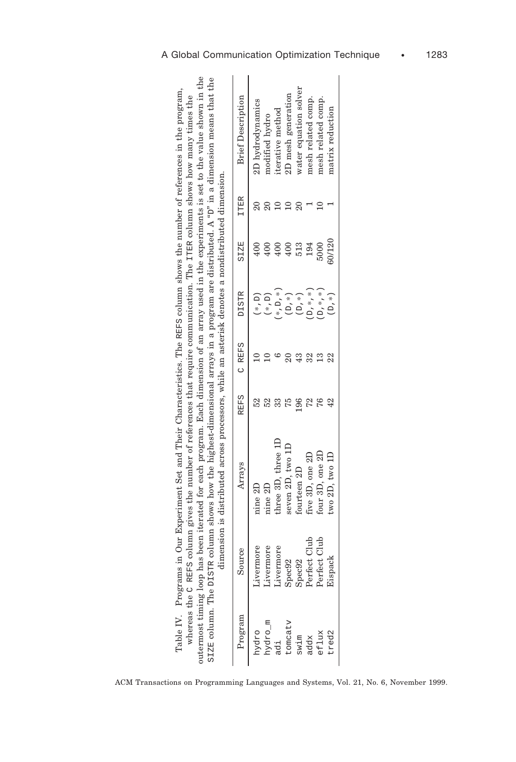|  | A Global Communication Optimization Technique |  |
|--|-----------------------------------------------|--|
|  |                                               |  |

• 1283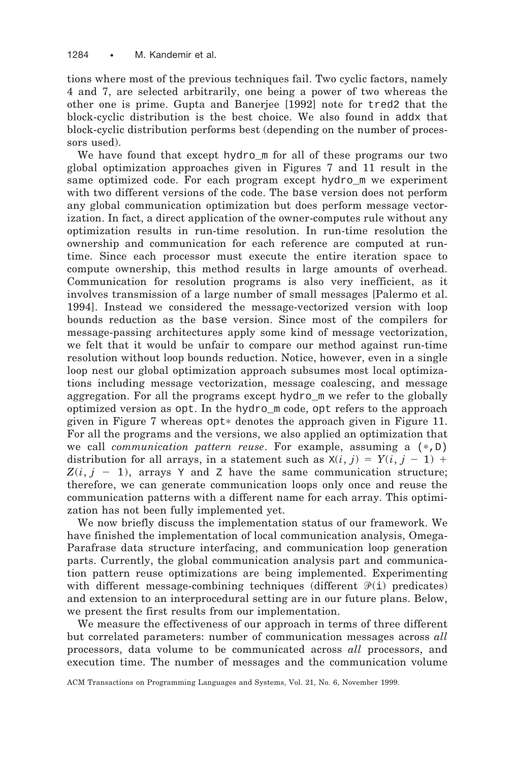tions where most of the previous techniques fail. Two cyclic factors, namely 4 and 7, are selected arbitrarily, one being a power of two whereas the other one is prime. Gupta and Banerjee [1992] note for tred2 that the block-cyclic distribution is the best choice. We also found in addx that block-cyclic distribution performs best (depending on the number of processors used).

We have found that except hydro\_m for all of these programs our two global optimization approaches given in Figures 7 and 11 result in the same optimized code. For each program except hydro\_m we experiment with two different versions of the code. The base version does not perform any global communication optimization but does perform message vectorization. In fact, a direct application of the owner-computes rule without any optimization results in run-time resolution. In run-time resolution the ownership and communication for each reference are computed at runtime. Since each processor must execute the entire iteration space to compute ownership, this method results in large amounts of overhead. Communication for resolution programs is also very inefficient, as it involves transmission of a large number of small messages [Palermo et al. 1994]. Instead we considered the message-vectorized version with loop bounds reduction as the base version. Since most of the compilers for message-passing architectures apply some kind of message vectorization, we felt that it would be unfair to compare our method against run-time resolution without loop bounds reduction. Notice, however, even in a single loop nest our global optimization approach subsumes most local optimizations including message vectorization, message coalescing, and message aggregation. For all the programs except hydro\_m we refer to the globally optimized version as opt. In the hydro\_m code, opt refers to the approach given in Figure 7 whereas  $opt*$  denotes the approach given in Figure 11. For all the programs and the versions, we also applied an optimization that we call *communication pattern reuse*. For example, assuming a  $(*,D)$ distribution for all arrays, in a statement such as  $X(i, j) = Y(i, j - 1)$  +  $Z(i, j - 1)$ , arrays Y and Z have the same communication structure; therefore, we can generate communication loops only once and reuse the communication patterns with a different name for each array. This optimization has not been fully implemented yet.

We now briefly discuss the implementation status of our framework. We have finished the implementation of local communication analysis, Omega-Parafrase data structure interfacing, and communication loop generation parts. Currently, the global communication analysis part and communication pattern reuse optimizations are being implemented. Experimenting with different message-combining techniques (different  $\mathcal{P}(i)$ ) predicates) and extension to an interprocedural setting are in our future plans. Below, we present the first results from our implementation.

We measure the effectiveness of our approach in terms of three different but correlated parameters: number of communication messages across *all* processors, data volume to be communicated across *all* processors, and execution time. The number of messages and the communication volume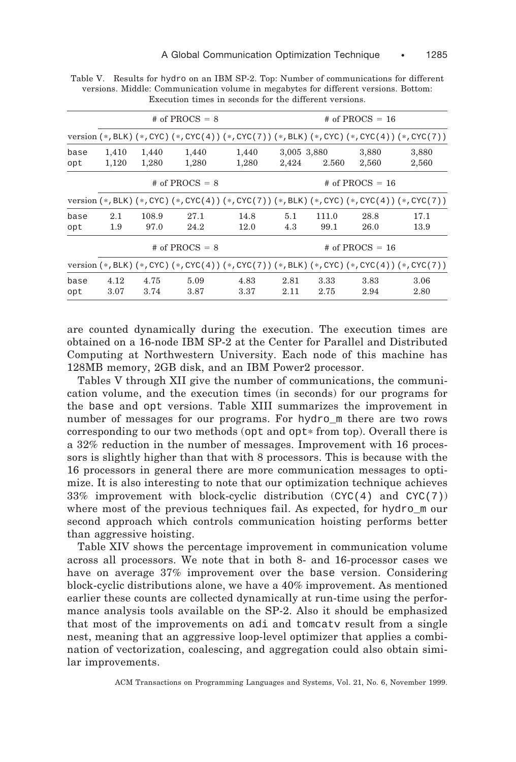Table V. Results for hydro on an IBM SP-2. Top: Number of communications for different versions. Middle: Communication volume in megabytes for different versions. Bottom: Execution times in seconds for the different versions.

|             |                |                | # of PROCS $= 8$  |                |                      |               | # of PROCS = $16$ |                                                                                               |  |  |
|-------------|----------------|----------------|-------------------|----------------|----------------------|---------------|-------------------|-----------------------------------------------------------------------------------------------|--|--|
|             |                |                |                   |                |                      |               |                   | version $(*, BLK) (*, CYC) (*, CYC(4)) (*, CYC(7)) (*, BLK) (*, CYC) (*, CYC(4)) (*, CYC(7))$ |  |  |
| base<br>opt | 1,410<br>1,120 | 1,440<br>1,280 | 1,440<br>1,280    | 1,440<br>1,280 | 3,005 3,880<br>2,424 | 2.560         | 3,880<br>2,560    | 3,880<br>2,560                                                                                |  |  |
|             |                |                | $#$ of PROCS = 8  |                | # of PROCS = $16$    |               |                   |                                                                                               |  |  |
|             |                |                |                   |                |                      |               |                   | version $(*, BLK) (*, CYC) (*, CYC(4)) (*, CYC(7)) (*, BLK) (*, CYC) (*, CYC(4)) (*, CYC(7))$ |  |  |
| base<br>opt | 2.1<br>1.9     | 108.9<br>97.0  | 27.1<br>24.2      | 14.8<br>12.0   | 5.1<br>4.3           | 111.0<br>99.1 | 28.8<br>26.0      | 17.1<br>13.9                                                                                  |  |  |
|             |                |                | $\#$ of PROCS = 8 |                | $\#$ of PROCS = 16   |               |                   |                                                                                               |  |  |
|             |                |                |                   |                |                      |               |                   | version $(*, BLK) (*, CYC) (*, CYC(4)) (*, CYC(7)) (*, BLK) (*, CYC) (*, CYC(4)) (*, CYC(7))$ |  |  |
| base<br>opt | 4.12<br>3.07   | 4.75<br>3.74   | 5.09<br>3.87      | 4.83<br>3.37   | 2.81<br>2.11         | 3.33<br>2.75  | 3.83<br>2.94      | 3.06<br>2.80                                                                                  |  |  |
|             |                |                |                   |                |                      |               |                   |                                                                                               |  |  |

are counted dynamically during the execution. The execution times are obtained on a 16-node IBM SP-2 at the Center for Parallel and Distributed Computing at Northwestern University. Each node of this machine has 128MB memory, 2GB disk, and an IBM Power2 processor.

Tables V through XII give the number of communications, the communication volume, and the execution times (in seconds) for our programs for the base and opt versions. Table XIII summarizes the improvement in number of messages for our programs. For hydro\_m there are two rows corresponding to our two methods ( $opt*$  from top). Overall there is a 32% reduction in the number of messages. Improvement with 16 processors is slightly higher than that with 8 processors. This is because with the 16 processors in general there are more communication messages to optimize. It is also interesting to note that our optimization technique achieves 33% improvement with block-cyclic distribution (CYC(4) and CYC(7)) where most of the previous techniques fail. As expected, for hydro\_m our second approach which controls communication hoisting performs better than aggressive hoisting.

Table XIV shows the percentage improvement in communication volume across all processors. We note that in both 8- and 16-processor cases we have on average 37% improvement over the base version. Considering block-cyclic distributions alone, we have a 40% improvement. As mentioned earlier these counts are collected dynamically at run-time using the performance analysis tools available on the SP-2. Also it should be emphasized that most of the improvements on adi and tomcatv result from a single nest, meaning that an aggressive loop-level optimizer that applies a combination of vectorization, coalescing, and aggregation could also obtain similar improvements.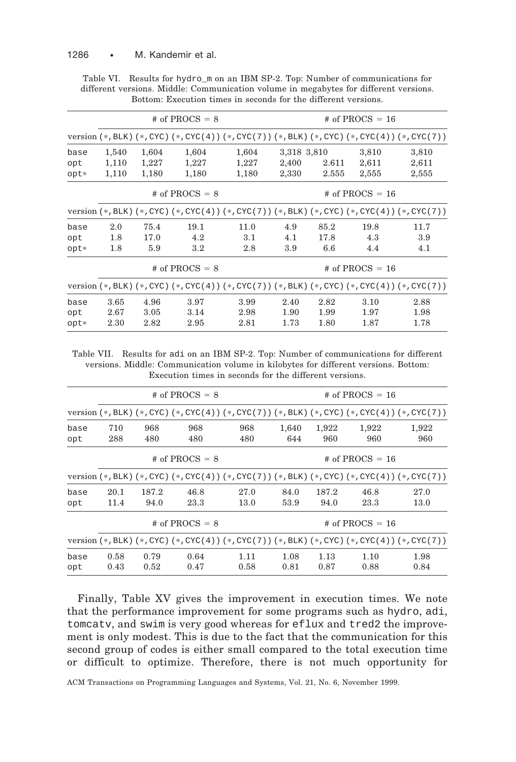Table VI. Results for hydro\_m on an IBM SP-2. Top: Number of communications for different versions. Middle: Communication volume in megabytes for different versions. Bottom: Execution times in seconds for the different versions.

|                     |                         |                         | # of PROCS = $8$                |                         | # of PROCS = $16$             |                      |                         |                                                                                               |  |  |
|---------------------|-------------------------|-------------------------|---------------------------------|-------------------------|-------------------------------|----------------------|-------------------------|-----------------------------------------------------------------------------------------------|--|--|
|                     |                         |                         |                                 |                         |                               |                      |                         | version $(*, BLK) (*, CYC) (*, CYC(4)) (*, CYC(7)) (*, BLK) (*, CYC) (*, CYC(4)) (*, CYC(7))$ |  |  |
| base<br>opt<br>opt* | 1,540<br>1,110<br>1,110 | 1,604<br>1,227<br>1,180 | 1,604<br>1,227<br>1,180         | 1,604<br>1,227<br>1,180 | 3,318 3,810<br>2,400<br>2,330 | 2.611<br>2.555       | 3,810<br>2,611<br>2,555 | 3,810<br>2,611<br>2,555                                                                       |  |  |
|                     |                         |                         | # of PROCS = $8$                |                         |                               |                      | # of PROCS = $16$       |                                                                                               |  |  |
|                     |                         |                         |                                 |                         |                               |                      |                         | version $(*, BLK) (*, CYC) (*, CYC(4)) (*, CYC(7)) (*, BLK) (*, CYC) (*, CYC(4)) (*, CYC(7))$ |  |  |
| base<br>opt<br>opt* | 2.0<br>1.8<br>1.8       | 75.4<br>17.0<br>5.9     | 19.1<br>4.2<br>$3.2\phantom{0}$ | 11.0<br>3.1<br>2.8      | 4.9<br>4.1<br>3.9             | 85.2<br>17.8<br>6.6  | 19.8<br>4.3<br>4.4      | 11.7<br>3.9<br>4.1                                                                            |  |  |
|                     |                         |                         | $#$ of PROCS = 8                |                         |                               |                      | $\#$ of PROCS = 16      |                                                                                               |  |  |
|                     |                         |                         |                                 |                         |                               |                      |                         | version $(*, BLK) (*, CYC) (*, CYC(4)) (*, CYC(7)) (*, BLK) (*, CYC) (*, CYC(4)) (*, CYC(7))$ |  |  |
| base<br>opt<br>opt* | 3.65<br>2.67<br>2.30    | 4.96<br>3.05<br>2.82    | 3.97<br>3.14<br>2.95            | 3.99<br>2.98<br>2.81    | 2.40<br>1.90<br>1.73          | 2.82<br>1.99<br>1.80 | 3.10<br>1.97<br>1.87    | 2.88<br>1.98<br>1.78                                                                          |  |  |

Table VII. Results for adi on an IBM SP-2. Top: Number of communications for different versions. Middle: Communication volume in kilobytes for different versions. Bottom: Execution times in seconds for the different versions.

| $#$ of PROCS = 8<br>$\#$ of PROCS = 16<br>version $(*, BLK)$ $(*, CYC)$ $(*, CYC(4))$ $(*, CYC(7))$ $(*, BLK)$ $(*, CYC)$ $(*, CYC(4))$ $(*, CYC(7))$<br>710<br>968<br>968<br>968<br>1,640<br>1,922<br>1,922<br>1,922<br>644<br>288<br>480<br>480<br>480<br>960<br>960<br>960<br>$#$ of PROCS = 8<br># of PROCS = $16$<br>version $(*$ , BLK $(*$ , CYC $(*$ , CYC $(4))$ $(*$ , CYC $(7))$ $(*$ , BLK $(*$ , CYC $(*$ , CYC $(4))$ $(*$ , CYC $(7))$<br>27.0<br>20.1<br>187.2<br>46.8<br>27.0<br>84.0<br>187.2<br>46.8<br>53.9<br>11.4<br>94.0<br>23.3<br>13.0<br>94.0<br>23.3<br>13.0<br>$#$ of PROCS = 8<br>$\#$ of PROCS = 16<br>version $(*, BLK)$ $(*, CYC)$ $(*, CYC(4))$ $(*, CYC(7))$ $(*, BLK)$ $(*, CYC)$ $(*, CYC(4))$ $(*, CYC(7))$<br>1.08<br>1.98<br>0.58<br>0.79<br>0.64<br>1.13<br>1.10<br>1.11<br>0.43<br>0.58<br>0.81<br>0.87<br>0.88<br>0.84<br>0.52<br>0.47 |             |  |  |  |  |  |  |  |
|----------------------------------------------------------------------------------------------------------------------------------------------------------------------------------------------------------------------------------------------------------------------------------------------------------------------------------------------------------------------------------------------------------------------------------------------------------------------------------------------------------------------------------------------------------------------------------------------------------------------------------------------------------------------------------------------------------------------------------------------------------------------------------------------------------------------------------------------------------------------------------|-------------|--|--|--|--|--|--|--|
|                                                                                                                                                                                                                                                                                                                                                                                                                                                                                                                                                                                                                                                                                                                                                                                                                                                                                  |             |  |  |  |  |  |  |  |
|                                                                                                                                                                                                                                                                                                                                                                                                                                                                                                                                                                                                                                                                                                                                                                                                                                                                                  |             |  |  |  |  |  |  |  |
|                                                                                                                                                                                                                                                                                                                                                                                                                                                                                                                                                                                                                                                                                                                                                                                                                                                                                  | base<br>opt |  |  |  |  |  |  |  |
|                                                                                                                                                                                                                                                                                                                                                                                                                                                                                                                                                                                                                                                                                                                                                                                                                                                                                  |             |  |  |  |  |  |  |  |
|                                                                                                                                                                                                                                                                                                                                                                                                                                                                                                                                                                                                                                                                                                                                                                                                                                                                                  |             |  |  |  |  |  |  |  |
|                                                                                                                                                                                                                                                                                                                                                                                                                                                                                                                                                                                                                                                                                                                                                                                                                                                                                  | base<br>opt |  |  |  |  |  |  |  |
|                                                                                                                                                                                                                                                                                                                                                                                                                                                                                                                                                                                                                                                                                                                                                                                                                                                                                  |             |  |  |  |  |  |  |  |
|                                                                                                                                                                                                                                                                                                                                                                                                                                                                                                                                                                                                                                                                                                                                                                                                                                                                                  |             |  |  |  |  |  |  |  |
|                                                                                                                                                                                                                                                                                                                                                                                                                                                                                                                                                                                                                                                                                                                                                                                                                                                                                  | base<br>opt |  |  |  |  |  |  |  |

Finally, Table XV gives the improvement in execution times. We note that the performance improvement for some programs such as hydro, adi, tomcatv, and swim is very good whereas for eflux and tred2 the improvement is only modest. This is due to the fact that the communication for this second group of codes is either small compared to the total execution time or difficult to optimize. Therefore, there is not much opportunity for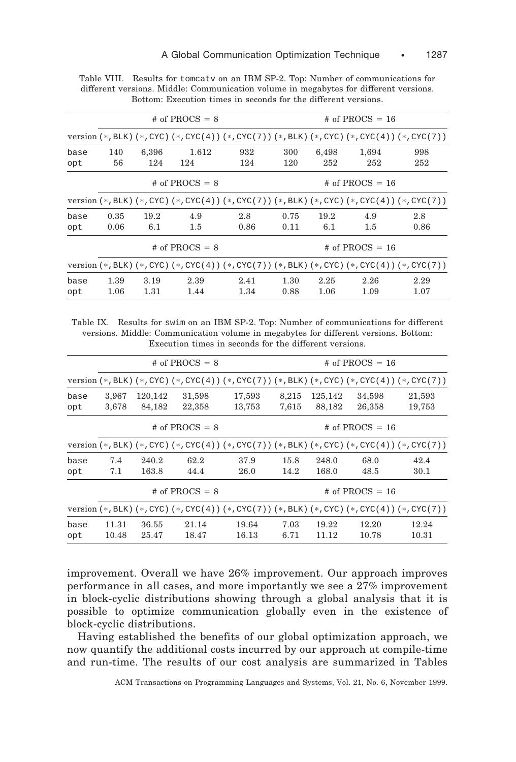Table VIII. Results for tomcatv on an IBM SP-2. Top: Number of communications for different versions. Middle: Communication volume in megabytes for different versions. Bottom: Execution times in seconds for the different versions.

|             |              |              | $#$ of PROCS = 8 |              | # of PROCS = $16$  |              |                   |                                                                                                                     |  |
|-------------|--------------|--------------|------------------|--------------|--------------------|--------------|-------------------|---------------------------------------------------------------------------------------------------------------------|--|
|             |              |              |                  |              |                    |              |                   | version $(*, BLK) (*, CYC) (*, CYC(4)) (*, CYC(7)) (*, BLK) (*, CYC) (*, CYC(4)) (*, CYC(7))$                       |  |
| base<br>opt | 140<br>56    | 6,396<br>124 | 1.612<br>124     | 932<br>124   | 300<br>120         | 6,498<br>252 | 1,694<br>252      | 998<br>252                                                                                                          |  |
|             |              |              | $#$ of PROCS = 8 |              | $\#$ of PROCS = 16 |              |                   |                                                                                                                     |  |
|             |              |              |                  |              |                    |              |                   | version $(*, BLK) (*, CYC) (*, CYC(4)) (*, CYC(7)) (*, BLK) (*, CYC) (*, CYC(4)) (*, CYC(7))$                       |  |
| base<br>opt | 0.35<br>0.06 | 19.2<br>6.1  | 4.9<br>$1.5\,$   | 2.8<br>0.86  | 0.75<br>0.11       | 19.2<br>6.1  | 4.9<br>1.5        | 2.8<br>0.86                                                                                                         |  |
|             |              |              | # of PROCS $= 8$ |              |                    |              | # of PROCS = $16$ |                                                                                                                     |  |
|             |              |              |                  |              |                    |              |                   | version $(*$ , BLK) $(*$ , CYC) $(*$ , CYC(4)) $(*$ , CYC(7)) $(*$ , BLK) $(*$ , CYC) $(*$ , CYC(4)) $(*$ , CYC(7)) |  |
| base<br>opt | 1.39<br>1.06 | 3.19<br>1.31 | 2.39<br>1.44     | 2.41<br>1.34 | 1.30<br>0.88       | 2.25<br>1.06 | 2.26<br>1.09      | 2.29<br>1.07                                                                                                        |  |

Table IX. Results for swim on an IBM SP-2. Top: Number of communications for different versions. Middle: Communication volume in megabytes for different versions. Bottom: Execution times in seconds for the different versions.

|             |                |                   | $#$ of PROCS = 8 |                  | $\#$ of PROCS = 16 |                   |                   |                                                                                                                     |  |
|-------------|----------------|-------------------|------------------|------------------|--------------------|-------------------|-------------------|---------------------------------------------------------------------------------------------------------------------|--|
|             |                |                   |                  |                  |                    |                   |                   | version $(*, BLK)$ $(*, CYC)$ $(*, CYC(4))$ $(*, CYC(7))$ $(*, BLK)$ $(*, CYC)$ $(*, CYC(4))$ $(*, CYC(7))$         |  |
| base<br>opt | 3,967<br>3,678 | 120,142<br>84,182 | 31,598<br>22,358 | 17,593<br>13,753 | 8,215<br>7,615     | 125,142<br>88,182 | 34,598<br>26,358  | 21,593<br>19,753                                                                                                    |  |
|             |                |                   | # of PROCS = $8$ |                  | # of PROCS = $16$  |                   |                   |                                                                                                                     |  |
|             |                |                   |                  |                  |                    |                   |                   | version $(*$ , BLK) $(*$ , CYC) $(*$ , CYC(4)) $(*$ , CYC(7)) $(*$ , BLK) $(*$ , CYC) $(*$ , CYC(4)) $(*$ , CYC(7)) |  |
| base<br>opt | 7.4<br>7.1     | 240.2<br>163.8    | 62.2<br>44.4     | 37.9<br>26.0     | 15.8<br>14.2       | 248.0<br>168.0    | 68.0<br>48.5      | 42.4<br>30.1                                                                                                        |  |
|             |                |                   | # of PROCS = $8$ |                  |                    |                   | # of PROCS = $16$ |                                                                                                                     |  |
|             |                |                   |                  |                  |                    |                   |                   | version $(*, BLK)$ $(*, CYC)$ $(*, CYC(4))$ $(*, CYC(7))$ $(*, BLK)$ $(*, CYC)$ $(*, CYC(4))$ $(*, CYC(7))$         |  |
| base<br>opt | 11.31<br>10.48 | 36.55<br>25.47    | 21.14<br>18.47   | 19.64<br>16.13   | 7.03<br>6.71       | 19.22<br>11.12    | 12.20<br>10.78    | 12.24<br>10.31                                                                                                      |  |

improvement. Overall we have 26% improvement. Our approach improves performance in all cases, and more importantly we see a 27% improvement in block-cyclic distributions showing through a global analysis that it is possible to optimize communication globally even in the existence of block-cyclic distributions.

Having established the benefits of our global optimization approach, we now quantify the additional costs incurred by our approach at compile-time and run-time. The results of our cost analysis are summarized in Tables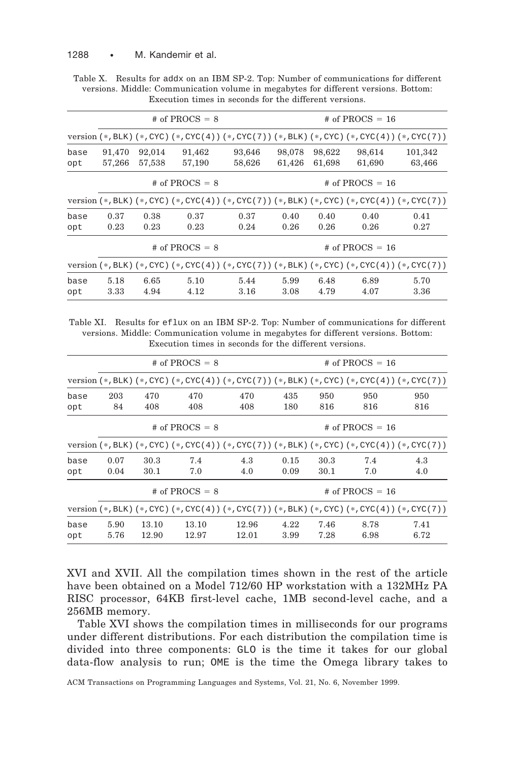Table X. Results for addx on an IBM SP-2. Top: Number of communications for different versions. Middle: Communication volume in megabytes for different versions. Bottom: Execution times in seconds for the different versions.

|                  |                  | # of PROCS = $8$ |                                      | # of PROCS = $16$ |                  |                  |                                                                                                                                                                                                                                                                                                                                                         |  |
|------------------|------------------|------------------|--------------------------------------|-------------------|------------------|------------------|---------------------------------------------------------------------------------------------------------------------------------------------------------------------------------------------------------------------------------------------------------------------------------------------------------------------------------------------------------|--|
|                  |                  |                  |                                      |                   |                  |                  |                                                                                                                                                                                                                                                                                                                                                         |  |
| 91,470<br>57,266 | 92,014<br>57,538 | 91,462<br>57,190 | 93,646<br>58,626                     | 98,078<br>61,426  | 98,622<br>61,698 | 98,614<br>61,690 | 101,342<br>63,466                                                                                                                                                                                                                                                                                                                                       |  |
|                  |                  |                  |                                      |                   |                  |                  |                                                                                                                                                                                                                                                                                                                                                         |  |
|                  |                  |                  |                                      |                   |                  |                  |                                                                                                                                                                                                                                                                                                                                                         |  |
| 0.37             | 0.38             | 0.37             | 0.37                                 | 0.40              | 0.40             | 0.40             | 0.41                                                                                                                                                                                                                                                                                                                                                    |  |
| 0.23             | 0.23             | 0.23             | 0.24                                 | 0.26              | 0.26             | 0.26             | 0.27                                                                                                                                                                                                                                                                                                                                                    |  |
|                  |                  |                  |                                      |                   |                  |                  |                                                                                                                                                                                                                                                                                                                                                         |  |
|                  |                  |                  |                                      |                   |                  |                  |                                                                                                                                                                                                                                                                                                                                                         |  |
| 5.18             | 6.65             | 5.10             | 5.44                                 | 5.99              | 6.48             | 6.89             | 5.70                                                                                                                                                                                                                                                                                                                                                    |  |
| 3.33             | 4.94             | 4.12             | 3.16                                 | 3.08              | 4.79             | 4.07             | 3.36                                                                                                                                                                                                                                                                                                                                                    |  |
|                  |                  |                  | # of PROCS = $8$<br># of PROCS $= 8$ |                   |                  |                  | version $(*, BLK) (*, CYC) (*, CYC(4)) (*, CYC(7)) (*, BLK) (*, CYC) (*, CYC(4)) (*, CYC(7))$<br># of PROCS = $16$<br>version $(*, BLK) (*, CYC) (*, CYC(4)) (*, CYC(7)) (*, BLK) (*, CYC) (*, CYC(4)) (*, CYC(7))$<br># of PROCS = $16$<br>version $(*, BLK)$ $(*, CYC)$ $(*, CYC(4))$ $(*, CYC(7))$ $(*, BLK)$ $(*, CYC)$ $(*, CYC(4))$ $(*, CYC(7))$ |  |

Table XI. Results for eflux on an IBM SP-2. Top: Number of communications for different versions. Middle: Communication volume in megabytes for different versions. Bottom: Execution times in seconds for the different versions.

|             |              |                | $#$ of PROCS = 8 |                | $\#$ of PROCS = 16 |              |                    |                                                                                                             |  |
|-------------|--------------|----------------|------------------|----------------|--------------------|--------------|--------------------|-------------------------------------------------------------------------------------------------------------|--|
|             |              |                |                  |                |                    |              |                    | version $(*, BLK)$ $(*, CYC)$ $(*, CYC(4))$ $(*, CYC(7))$ $(*, BLK)$ $(*, CYC)$ $(*, CYC(4))$ $(*, CYC(7))$ |  |
| base<br>opt | 203<br>84    | 470<br>408     | 470<br>408       | 470<br>408     | 435<br>180         | 950<br>816   | 950<br>816         | 950<br>816                                                                                                  |  |
|             |              |                | # of PROCS = $8$ |                |                    |              | # of PROCS = $16$  |                                                                                                             |  |
|             |              |                |                  |                |                    |              |                    | version $(*, BLK)$ $(*, CYC)$ $(*, CYC(4))$ $(*, CYC(7))$ $(*, BLK)$ $(*, CYC)$ $(*, CYC(4))$ $(*, CYC(7))$ |  |
| base<br>opt | 0.07<br>0.04 | 30.3<br>30.1   | 7.4<br>7.0       | 4.3<br>4.0     | 0.15<br>0.09       | 30.3<br>30.1 | 7.4<br>7.0         | 4.3<br>4.0                                                                                                  |  |
|             |              |                | $#$ of PROCS = 8 |                |                    |              | $\#$ of PROCS = 16 |                                                                                                             |  |
|             |              |                |                  |                |                    |              |                    | version $(*, BLK)$ $(*, CYC)$ $(*, CYC(4))$ $(*, CYC(7))$ $(*, BLK)$ $(*, CYC)$ $(*, CYC(4))$ $(*, CYC(7))$ |  |
| base<br>opt | 5.90<br>5.76 | 13.10<br>12.90 | 13.10<br>12.97   | 12.96<br>12.01 | 4.22<br>3.99       | 7.46<br>7.28 | 8.78<br>6.98       | 7.41<br>6.72                                                                                                |  |

XVI and XVII. All the compilation times shown in the rest of the article have been obtained on a Model 712/60 HP workstation with a 132MHz PA RISC processor, 64KB first-level cache, 1MB second-level cache, and a 256MB memory.

Table XVI shows the compilation times in milliseconds for our programs under different distributions. For each distribution the compilation time is divided into three components: GLO is the time it takes for our global data-flow analysis to run; OME is the time the Omega library takes to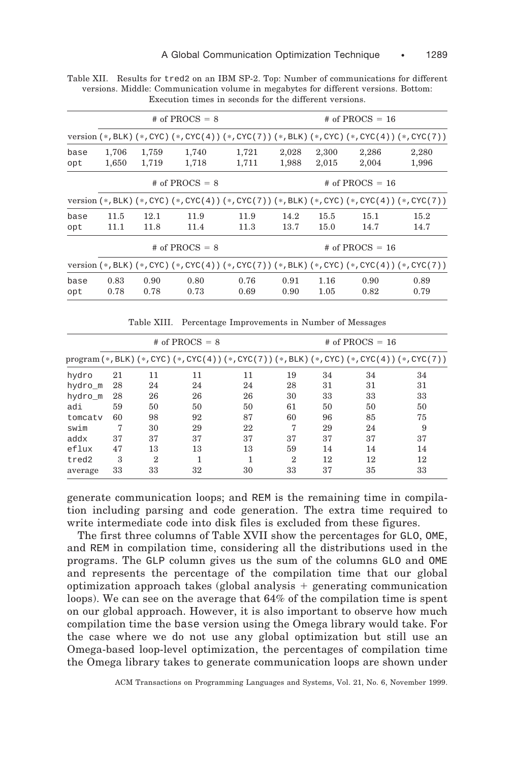Table XII. Results for tred2 on an IBM SP-2. Top: Number of communications for different versions. Middle: Communication volume in megabytes for different versions. Bottom: Execution times in seconds for the different versions.

|             |                                       |                | # of PROCS = $8$ |                                                                                               | # of PROCS = $16$ |                |                   |                |  |  |
|-------------|---------------------------------------|----------------|------------------|-----------------------------------------------------------------------------------------------|-------------------|----------------|-------------------|----------------|--|--|
|             |                                       |                |                  | version $(*, BLK) (*, CYC) (*, CYC(4)) (*, CYC(7)) (*, BLK) (*, CYC) (*, CYC(4)) (*, CYC(7))$ |                   |                |                   |                |  |  |
| base<br>opt | 1,706<br>1,650                        | 1,759<br>1,719 | 1,740<br>1,718   | 1,721<br>1,711                                                                                | 2,028<br>1,988    | 2,300<br>2,015 | 2,286<br>2,004    | 2,280<br>1,996 |  |  |
|             | # of PROCS = $8$<br># of PROCS = $16$ |                |                  |                                                                                               |                   |                |                   |                |  |  |
|             |                                       |                |                  | version $(*, BLK) (*, CYC) (*, CYC(4)) (*, CYC(7)) (*, BLK) (*, CYC) (*, CYC(4)) (*, CYC(7))$ |                   |                |                   |                |  |  |
| base        | 11.5                                  | 12.1           | 11.9             | 11.9                                                                                          | 14.2              | 15.5           | 15.1              | 15.2           |  |  |
| opt         | 11.1                                  | 11.8           | 11.4             | 11.3                                                                                          | 13.7              | 15.0           | 14.7              | 14.7           |  |  |
|             |                                       |                | # of PROCS = $8$ |                                                                                               |                   |                | # of PROCS = $16$ |                |  |  |
|             |                                       |                |                  | version $(*, BLK) (*, CYC) (*, CYC(4)) (*, CYC(7)) (*, BLK) (*, CYC) (*, CYC(4)) (*, CYC(7))$ |                   |                |                   |                |  |  |
| base        | 0.83                                  | 0.90           | 0.80             | 0.76                                                                                          | 0.91              | 1.16           | 0.90              | 0.89           |  |  |
| opt         | 0.78                                  | 0.78           | 0.73             | 0.69                                                                                          | 0.90              | 1.05           | 0.82              | 0.79           |  |  |
|             |                                       |                |                  |                                                                                               |                   |                |                   |                |  |  |

Table XIII. Percentage Improvements in Number of Messages

|         |    |              | # of PROCS $= 8$ |    |              | $\#$ of PROCS = 16 |    |                                                                                               |  |  |
|---------|----|--------------|------------------|----|--------------|--------------------|----|-----------------------------------------------------------------------------------------------|--|--|
|         |    |              |                  |    |              |                    |    | $program (*, BLK) (*, CYC) (*, CYC(4)) (*, CYC(7)) (*, BLK) (*, CYC) (*, CYC(4)) (*, CYC(7))$ |  |  |
| hydro   | 21 | 11           | 11               | 11 | 19           | 34                 | 34 | 34                                                                                            |  |  |
| hydro m | 28 | 24           | 24               | 24 | 28           | 31                 | 31 | 31                                                                                            |  |  |
| hydro m | 28 | 26           | 26               | 26 | 30           | 33                 | 33 | 33                                                                                            |  |  |
| adi     | 59 | 50           | 50               | 50 | 61           | 50                 | 50 | 50                                                                                            |  |  |
| tomcaty | 60 | 98           | 92               | 87 | 60           | 96                 | 85 | 75                                                                                            |  |  |
| swim    | 7  | 30           | 29               | 22 | 7            | 29                 | 24 | 9                                                                                             |  |  |
| addx    | 37 | 37           | 37               | 37 | 37           | 37                 | 37 | 37                                                                                            |  |  |
| eflux   | 47 | 13           | 13               | 13 | 59           | 14                 | 14 | 14                                                                                            |  |  |
| tred2   | 3  | $\mathbf{2}$ |                  | 1  | $\mathbf{2}$ | 12                 | 12 | 12                                                                                            |  |  |
| average | 33 | 33           | 32               | 30 | 33           | 37                 | 35 | 33                                                                                            |  |  |

generate communication loops; and REM is the remaining time in compilation including parsing and code generation. The extra time required to write intermediate code into disk files is excluded from these figures.

The first three columns of Table XVII show the percentages for GLO, OME, and REM in compilation time, considering all the distributions used in the programs. The GLP column gives us the sum of the columns GLO and OME and represents the percentage of the compilation time that our global optimization approach takes (global analysis  $+$  generating communication loops). We can see on the average that 64% of the compilation time is spent on our global approach. However, it is also important to observe how much compilation time the base version using the Omega library would take. For the case where we do not use any global optimization but still use an Omega-based loop-level optimization, the percentages of compilation time the Omega library takes to generate communication loops are shown under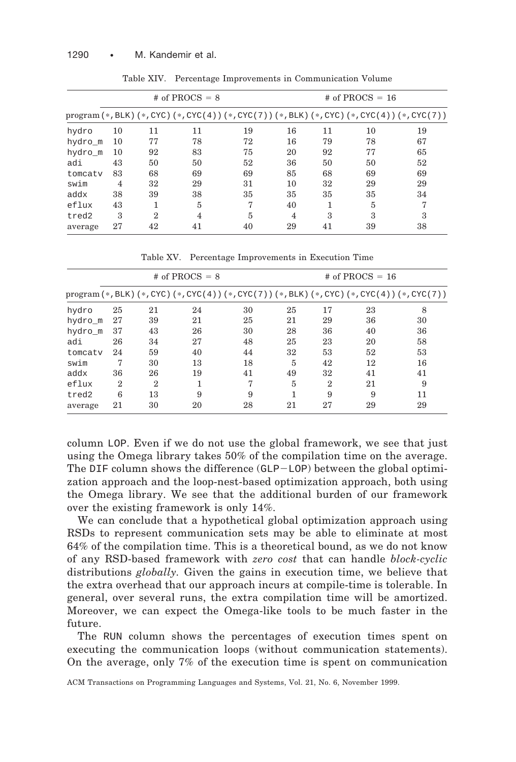|         |    |                        | $#$ of PROCS = 8 |    | $\#$ of PROCS = 16 |    |    |                                                                                                                                                   |  |
|---------|----|------------------------|------------------|----|--------------------|----|----|---------------------------------------------------------------------------------------------------------------------------------------------------|--|
|         |    |                        |                  |    |                    |    |    | $\text{program}(*, \text{BLK})(*, \text{CYC}(*, \text{CYC}(4))(*, \text{CYC}(7))(*, \text{BLK}(*, \text{CYC}(*, \text{CYC}(4))(*, \text{CYC}(7))$ |  |
| hydro   | 10 | 11                     | 11               | 19 | 16                 | 11 | 10 | 19                                                                                                                                                |  |
| hydro m | 10 | 77                     | 78               | 72 | 16                 | 79 | 78 | 67                                                                                                                                                |  |
| hydro m | 10 | 92                     | 83               | 75 | 20                 | 92 | 77 | 65                                                                                                                                                |  |
| adi     | 43 | 50                     | 50               | 52 | 36                 | 50 | 50 | 52                                                                                                                                                |  |
| tomcaty | 83 | 68                     | 69               | 69 | 85                 | 68 | 69 | 69                                                                                                                                                |  |
| swim    | 4  | 32                     | 29               | 31 | 10                 | 32 | 29 | 29                                                                                                                                                |  |
| addx    | 38 | 39                     | 38               | 35 | 35                 | 35 | 35 | 34                                                                                                                                                |  |
| eflux   | 43 |                        | 5                | 7  | 40                 |    | 5  | 7                                                                                                                                                 |  |
| tred2   | 3  | $\mathcal{D}_{\alpha}$ | $\overline{4}$   | 5  | 4                  | 3  | 3  | 3                                                                                                                                                 |  |
| average | 27 | 42                     | 41               | 40 | 29                 | 41 | 39 | 38                                                                                                                                                |  |

Table XIV. Percentage Improvements in Communication Volume

Table XV. Percentage Improvements in Execution Time

|         |              |    | $#$ of PROCS = 8 |    | $\#$ of PROCS = 16 |    |                                                                                                                                                   |    |  |
|---------|--------------|----|------------------|----|--------------------|----|---------------------------------------------------------------------------------------------------------------------------------------------------|----|--|
|         |              |    |                  |    |                    |    | $\text{program}(*, \text{BLK})(*, \text{CYC}(*, \text{CYC}(4))(*, \text{CYC}(7))(*, \text{BLK}(*, \text{CYC}(*, \text{CYC}(4))(*, \text{CYC}(7))$ |    |  |
| hydro   | 25           | 21 | 24               | 30 | 25                 | 17 | 23                                                                                                                                                | 8  |  |
| hydro m | 27           | 39 | 21               | 25 | 21                 | 29 | 36                                                                                                                                                | 30 |  |
| hydro m | 37           | 43 | 26               | 30 | 28                 | 36 | 40                                                                                                                                                | 36 |  |
| adi     | 26           | 34 | 27               | 48 | 25                 | 23 | 20                                                                                                                                                | 58 |  |
| tomcaty | 24           | 59 | 40               | 44 | 32                 | 53 | 52                                                                                                                                                | 53 |  |
| swim    | 7            | 30 | 13               | 18 | 5                  | 42 | 12                                                                                                                                                | 16 |  |
| addx    | 36           | 26 | 19               | 41 | 49                 | 32 | 41                                                                                                                                                | 41 |  |
| eflux   | $\mathbf{2}$ | 2  |                  | 7  | 5                  | 2  | 21                                                                                                                                                | 9  |  |
| tred2   | 6            | 13 | 9                | 9  |                    | 9  | 9                                                                                                                                                 | 11 |  |
| average | 21           | 30 | 20               | 28 | 21                 | 27 | 29                                                                                                                                                | 29 |  |

column LOP. Even if we do not use the global framework, we see that just using the Omega library takes 50% of the compilation time on the average. The  $\text{DIF}$  column shows the difference (GLP-LOP) between the global optimization approach and the loop-nest-based optimization approach, both using the Omega library. We see that the additional burden of our framework over the existing framework is only 14%.

We can conclude that a hypothetical global optimization approach using RSDs to represent communication sets may be able to eliminate at most 64% of the compilation time. This is a theoretical bound, as we do not know of any RSD-based framework with *zero cost* that can handle *block-cyclic* distributions *globally.* Given the gains in execution time, we believe that the extra overhead that our approach incurs at compile-time is tolerable. In general, over several runs, the extra compilation time will be amortized. Moreover, we can expect the Omega-like tools to be much faster in the future.

The RUN column shows the percentages of execution times spent on executing the communication loops (without communication statements). On the average, only 7% of the execution time is spent on communication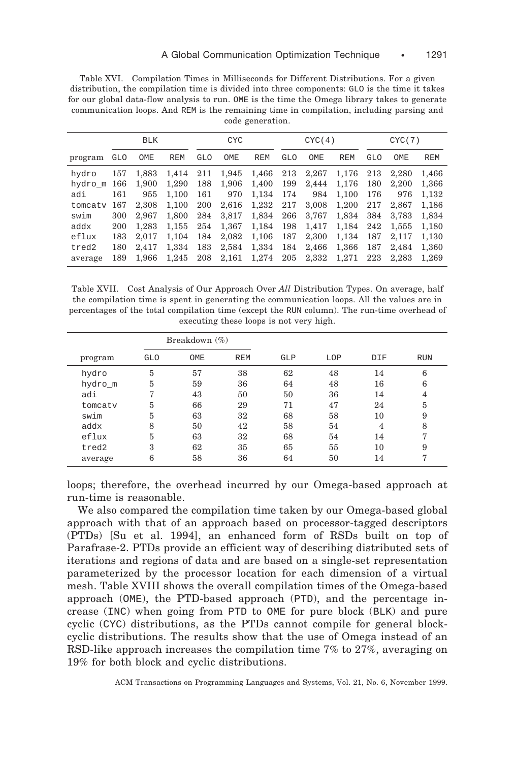Table XVI. Compilation Times in Milliseconds for Different Distributions. For a given distribution, the compilation time is divided into three components: GLO is the time it takes for our global data-flow analysis to run. OME is the time the Omega library takes to generate communication loops. And REM is the remaining time in compilation, including parsing and code generation.

|         | <b>BLK</b> |       |            | <b>CYC</b> |       |            | CYC(4)     |       |            | CYC(7)     |       |       |
|---------|------------|-------|------------|------------|-------|------------|------------|-------|------------|------------|-------|-------|
| program | GLO        | OME   | <b>REM</b> | <b>GLO</b> | OME   | <b>REM</b> | <b>GLO</b> | OME   | <b>REM</b> | <b>GLO</b> | OME   | REM   |
| hydro   | 157        | 1.883 | 1,414      | 211        | 1,945 | 1,466      | 213        | 2,267 | 1.176      | 213        | 2.280 | 1,466 |
| hydro m | 166        | 1.900 | 1,290      | 188        | 1,906 | 1,400      | 199        | 2.444 | 1,176      | 180        | 2.200 | 1,366 |
| adi     | 161        | 955   | 1,100      | 161        | 970   | 1,134      | 174        | 984   | 1,100      | 176        | 976   | 1,132 |
| tomcatv | 167        | 2.308 | 1.100      | 200        | 2,616 | 1,232      | 217        | 3,008 | 1,200      | 217        | 2.867 | 1,186 |
| swim    | 300        | 2.967 | 1.800      | 284        | 3.817 | 1,834      | 266        | 3.767 | 1,834      | 384        | 3.783 | 1.834 |
| addx    | 200        | 1.283 | 1.155      | 254        | 1,367 | 1,184      | 198        | 1,417 | 1,184      | 242        | 1.555 | 1,180 |
| eflux   | 183        | 2.017 | 1.104      | 184        | 2,082 | 1,106      | 187        | 2,300 | 1,134      | 187        | 2.117 | 1,130 |
| tred2   | 180        | 2.417 | 1.334      | 183        | 2,584 | 1,334      | 184        | 2,466 | 1,366      | 187        | 2.484 | 1,360 |
| average | 189        | 1.966 | 1.245      | 208        | 2,161 | 1,274      | 205        | 2,332 | 1,271      | 223        | 2.283 | 1,269 |
|         |            |       |            |            |       |            |            |       |            |            |       |       |

Table XVII. Cost Analysis of Our Approach Over *All* Distribution Types. On average, half the compilation time is spent in generating the communication loops. All the values are in percentages of the total compilation time (except the RUN column). The run-time overhead of executing these loops is not very high.

|         |            | Breakdown $(\%)$ |            |            |     |     |            |
|---------|------------|------------------|------------|------------|-----|-----|------------|
| program | <b>GLO</b> | OME              | <b>REM</b> | <b>GLP</b> | LOP | DIF | <b>RUN</b> |
| hydro   | 5          | 57               | 38         | 62         | 48  | 14  | 6          |
| hydro_m | 5          | 59               | 36         | 64         | 48  | 16  | 6          |
| adi     | 7          | 43               | 50         | 50         | 36  | 14  | 4          |
| tomcatv | 5          | 66               | 29         | 71         | 47  | 24  | 5          |
| swim    | 5          | 63               | 32         | 68         | 58  | 10  | 9          |
| addx    | 8          | 50               | 42         | 58         | 54  | 4   | 8          |
| eflux   | 5          | 63               | 32         | 68         | 54  | 14  | 7          |
| tred2   | 3          | 62               | 35         | 65         | 55  | 10  | 9          |
| average | 6          | 58               | 36         | 64         | 50  | 14  | 7          |

loops; therefore, the overhead incurred by our Omega-based approach at run-time is reasonable.

We also compared the compilation time taken by our Omega-based global approach with that of an approach based on processor-tagged descriptors (PTDs) [Su et al. 1994], an enhanced form of RSDs built on top of Parafrase-2. PTDs provide an efficient way of describing distributed sets of iterations and regions of data and are based on a single-set representation parameterized by the processor location for each dimension of a virtual mesh. Table XVIII shows the overall compilation times of the Omega-based approach (OME), the PTD-based approach (PTD), and the percentage increase (INC) when going from PTD to OME for pure block (BLK) and pure cyclic (CYC) distributions, as the PTDs cannot compile for general blockcyclic distributions. The results show that the use of Omega instead of an RSD-like approach increases the compilation time 7% to 27%, averaging on 19% for both block and cyclic distributions.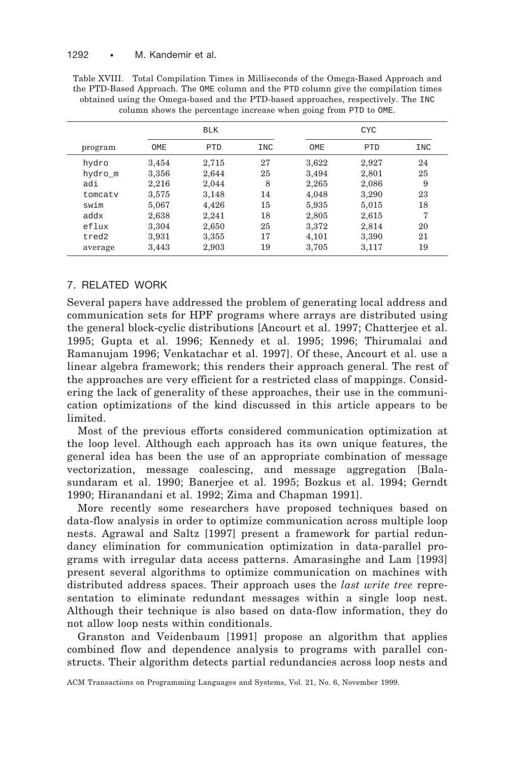|         | <b>BLK</b> |       |            | <b>CYC</b> |            |            |
|---------|------------|-------|------------|------------|------------|------------|
| program | OME        | PTD   | <b>INC</b> | OME        | <b>PTD</b> | <b>INC</b> |
| hydro   | 3,454      | 2,715 | 27         | 3,622      | 2,927      | 24         |
| hydro m | 3,356      | 2,644 | 25         | 3,494      | 2,801      | 25         |
| adi     | 2,216      | 2,044 | 8          | 2,265      | 2,086      | 9          |
| tomcaty | 3,575      | 3,148 | 14         | 4,048      | 3,290      | 23         |
| swim    | 5,067      | 4,426 | 15         | 5,935      | 5,015      | 18         |
| addx    | 2,638      | 2,241 | 18         | 2,805      | 2,615      | 7          |
| eflux   | 3,304      | 2,650 | 25         | 3,372      | 2,814      | 20         |
| tred2   | 3,931      | 3,355 | 17         | 4,101      | 3,390      | 21         |
| average | 3,443      | 2,903 | 19         | 3,705      | 3,117      | 19         |

Table XVIII. Total Compilation Times in Milliseconds of the Omega-Based Approach and the PTD-Based Approach. The OME column and the PTD column give the compilation times obtained using the Omega-based and the PTD-based approaches, respectively. The INC column shows the percentage increase when going from PTD to OME.

## 7. RELATED WORK

Several papers have addressed the problem of generating local address and communication sets for HPF programs where arrays are distributed using the general block-cyclic distributions [Ancourt et al. 1997; Chatterjee et al. 1995; Gupta et al. 1996; Kennedy et al. 1995; 1996; Thirumalai and Ramanujam 1996; Venkatachar et al. 1997]. Of these, Ancourt et al. use a linear algebra framework; this renders their approach general. The rest of the approaches are very efficient for a restricted class of mappings. Considering the lack of generality of these approaches, their use in the communication optimizations of the kind discussed in this article appears to be limited.

Most of the previous efforts considered communication optimization at the loop level. Although each approach has its own unique features, the general idea has been the use of an appropriate combination of message vectorization, message coalescing, and message aggregation [Balasundaram et al. 1990; Banerjee et al. 1995; Bozkus et al. 1994; Gerndt 1990; Hiranandani et al. 1992; Zima and Chapman 1991].

More recently some researchers have proposed techniques based on data-flow analysis in order to optimize communication across multiple loop nests. Agrawal and Saltz [1997] present a framework for partial redundancy elimination for communication optimization in data-parallel programs with irregular data access patterns. Amarasinghe and Lam [1993] present several algorithms to optimize communication on machines with distributed address spaces. Their approach uses the *last write tree* representation to eliminate redundant messages within a single loop nest. Although their technique is also based on data-flow information, they do not allow loop nests within conditionals.

Granston and Veidenbaum [1991] propose an algorithm that applies combined flow and dependence analysis to programs with parallel constructs. Their algorithm detects partial redundancies across loop nests and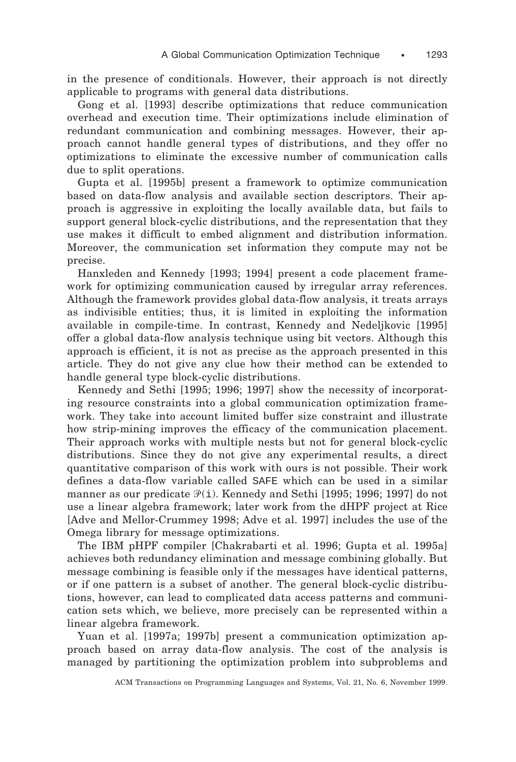in the presence of conditionals. However, their approach is not directly applicable to programs with general data distributions.

Gong et al. [1993] describe optimizations that reduce communication overhead and execution time. Their optimizations include elimination of redundant communication and combining messages. However, their approach cannot handle general types of distributions, and they offer no optimizations to eliminate the excessive number of communication calls due to split operations.

Gupta et al. [1995b] present a framework to optimize communication based on data-flow analysis and available section descriptors. Their approach is aggressive in exploiting the locally available data, but fails to support general block-cyclic distributions, and the representation that they use makes it difficult to embed alignment and distribution information. Moreover, the communication set information they compute may not be precise.

Hanxleden and Kennedy [1993; 1994] present a code placement framework for optimizing communication caused by irregular array references. Although the framework provides global data-flow analysis, it treats arrays as indivisible entities; thus, it is limited in exploiting the information available in compile-time. In contrast, Kennedy and Nedeljkovic [1995] offer a global data-flow analysis technique using bit vectors. Although this approach is efficient, it is not as precise as the approach presented in this article. They do not give any clue how their method can be extended to handle general type block-cyclic distributions.

Kennedy and Sethi [1995; 1996; 1997] show the necessity of incorporating resource constraints into a global communication optimization framework. They take into account limited buffer size constraint and illustrate how strip-mining improves the efficacy of the communication placement. Their approach works with multiple nests but not for general block-cyclic distributions. Since they do not give any experimental results, a direct quantitative comparison of this work with ours is not possible. Their work defines a data-flow variable called SAFE which can be used in a similar manner as our predicate  $\mathcal{P}(i)$ . Kennedy and Sethi [1995; 1996; 1997] do not use a linear algebra framework; later work from the dHPF project at Rice [Adve and Mellor-Crummey 1998; Adve et al. 1997] includes the use of the Omega library for message optimizations.

The IBM pHPF compiler [Chakrabarti et al. 1996; Gupta et al. 1995a] achieves both redundancy elimination and message combining globally. But message combining is feasible only if the messages have identical patterns, or if one pattern is a subset of another. The general block-cyclic distributions, however, can lead to complicated data access patterns and communication sets which, we believe, more precisely can be represented within a linear algebra framework.

Yuan et al. [1997a; 1997b] present a communication optimization approach based on array data-flow analysis. The cost of the analysis is managed by partitioning the optimization problem into subproblems and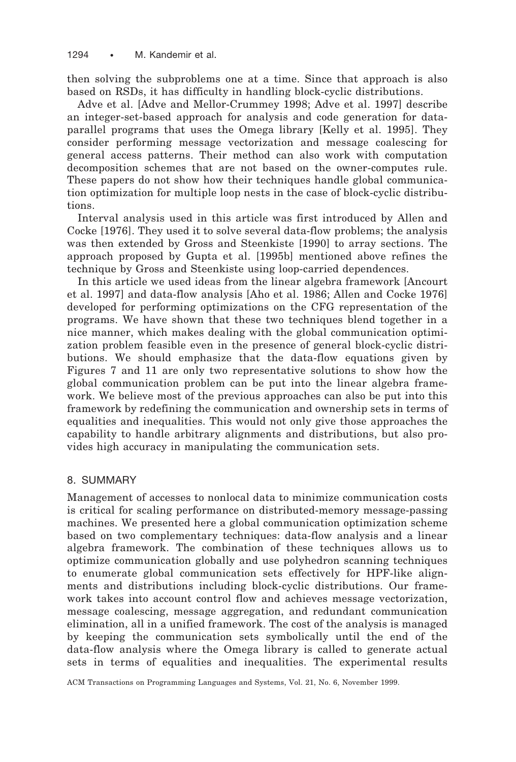then solving the subproblems one at a time. Since that approach is also based on RSDs, it has difficulty in handling block-cyclic distributions.

Adve et al. [Adve and Mellor-Crummey 1998; Adve et al. 1997] describe an integer-set-based approach for analysis and code generation for dataparallel programs that uses the Omega library [Kelly et al. 1995]. They consider performing message vectorization and message coalescing for general access patterns. Their method can also work with computation decomposition schemes that are not based on the owner-computes rule. These papers do not show how their techniques handle global communication optimization for multiple loop nests in the case of block-cyclic distributions.

Interval analysis used in this article was first introduced by Allen and Cocke [1976]. They used it to solve several data-flow problems; the analysis was then extended by Gross and Steenkiste [1990] to array sections. The approach proposed by Gupta et al. [1995b] mentioned above refines the technique by Gross and Steenkiste using loop-carried dependences.

In this article we used ideas from the linear algebra framework [Ancourt et al. 1997] and data-flow analysis [Aho et al. 1986; Allen and Cocke 1976] developed for performing optimizations on the CFG representation of the programs. We have shown that these two techniques blend together in a nice manner, which makes dealing with the global communication optimization problem feasible even in the presence of general block-cyclic distributions. We should emphasize that the data-flow equations given by Figures 7 and 11 are only two representative solutions to show how the global communication problem can be put into the linear algebra framework. We believe most of the previous approaches can also be put into this framework by redefining the communication and ownership sets in terms of equalities and inequalities. This would not only give those approaches the capability to handle arbitrary alignments and distributions, but also provides high accuracy in manipulating the communication sets.

### 8. SUMMARY

Management of accesses to nonlocal data to minimize communication costs is critical for scaling performance on distributed-memory message-passing machines. We presented here a global communication optimization scheme based on two complementary techniques: data-flow analysis and a linear algebra framework. The combination of these techniques allows us to optimize communication globally and use polyhedron scanning techniques to enumerate global communication sets effectively for HPF-like alignments and distributions including block-cyclic distributions. Our framework takes into account control flow and achieves message vectorization, message coalescing, message aggregation, and redundant communication elimination, all in a unified framework. The cost of the analysis is managed by keeping the communication sets symbolically until the end of the data-flow analysis where the Omega library is called to generate actual sets in terms of equalities and inequalities. The experimental results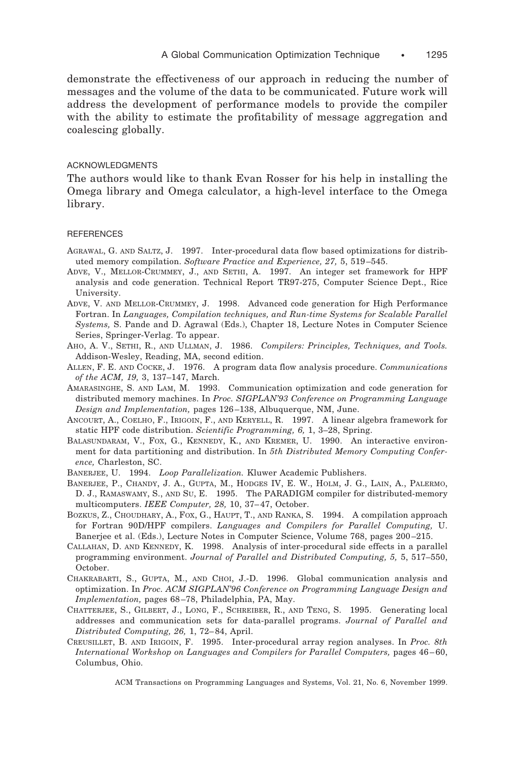demonstrate the effectiveness of our approach in reducing the number of messages and the volume of the data to be communicated. Future work will address the development of performance models to provide the compiler with the ability to estimate the profitability of message aggregation and coalescing globally.

## ACKNOWLEDGMENTS

The authors would like to thank Evan Rosser for his help in installing the Omega library and Omega calculator, a high-level interface to the Omega library.

#### **REFERENCES**

- AGRAWAL, G. AND SALTZ, J. 1997. Inter-procedural data flow based optimizations for distributed memory compilation. *Software Practice and Experience, 27,* 5, 519–545.
- ADVE, V., MELLOR-CRUMMEY, J., AND SETHI, A. 1997. An integer set framework for HPF analysis and code generation. Technical Report TR97-275, Computer Science Dept., Rice University.
- ADVE, V. AND MELLOR-CRUMMEY, J. 1998. Advanced code generation for High Performance Fortran. In *Languages, Compilation techniques, and Run-time Systems for Scalable Parallel Systems,* S. Pande and D. Agrawal (Eds.), Chapter 18, Lecture Notes in Computer Science Series, Springer-Verlag. To appear.
- AHO, A. V., SETHI, R., AND ULLMAN, J. 1986. *Compilers: Principles, Techniques, and Tools.* Addison-Wesley, Reading, MA, second edition.
- ALLEN, F. E. AND COCKE, J. 1976. A program data flow analysis procedure. *Communications of the ACM, 19,* 3, 137–147, March.
- AMARASINGHE, S. AND LAM, M. 1993. Communication optimization and code generation for distributed memory machines. In *Proc. SIGPLAN'93 Conference on Programming Language Design and Implementation,* pages 126–138, Albuquerque, NM, June.
- ANCOURT, A., COELHO, F., IRIGOIN, F., AND KERYELL, R. 1997. A linear algebra framework for static HPF code distribution. *Scientific Programming, 6,* 1, 3–28, Spring.
- BALASUNDARAM, V., FOX, G., KENNEDY, K., AND KREMER, U. 1990. An interactive environment for data partitioning and distribution. In *5th Distributed Memory Computing Conference,* Charleston, SC.
- BANERJEE, U. 1994. *Loop Parallelization.* Kluwer Academic Publishers.
- BANERJEE, P., CHANDY, J. A., GUPTA, M., HODGES IV, E. W., HOLM, J. G., LAIN, A., PALERMO, D. J., RAMASWAMY, S., AND SU, E. 1995. The PARADIGM compiler for distributed-memory multicomputers. *IEEE Computer, 28,* 10, 37–47, October.
- BOZKUS, Z., CHOUDHARY, A., FOX, G., HAUPT, T., AND RANKA, S. 1994. A compilation approach for Fortran 90D/HPF compilers. *Languages and Compilers for Parallel Computing,* U. Banerjee et al. (Eds.), Lecture Notes in Computer Science, Volume 768, pages 200–215.
- CALLAHAN, D. AND KENNEDY, K. 1998. Analysis of inter-procedural side effects in a parallel programming environment. *Journal of Parallel and Distributed Computing, 5,* 5, 517–550, October.
- CHAKRABARTI, S., GUPTA, M., AND CHOI, J.-D. 1996. Global communication analysis and optimization. In *Proc. ACM SIGPLAN'96 Conference on Programming Language Design and Implementation,* pages 68–78, Philadelphia, PA, May.
- CHATTERJEE, S., GILBERT, J., LONG, F., SCHREIBER, R., AND TENG, S. 1995. Generating local addresses and communication sets for data-parallel programs. *Journal of Parallel and Distributed Computing, 26,* 1, 72–84, April.
- CREUSILLET, B. AND IRIGOIN, F. 1995. Inter-procedural array region analyses. In *Proc. 8th International Workshop on Languages and Compilers for Parallel Computers,* pages 46–60, Columbus, Ohio.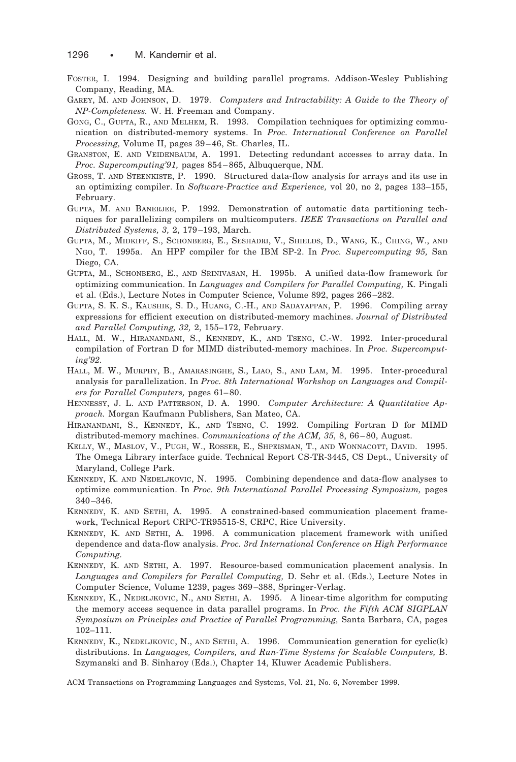- FOSTER, I. 1994. Designing and building parallel programs. Addison-Wesley Publishing Company, Reading, MA.
- GAREY, M. AND JOHNSON, D. 1979. *Computers and Intractability: A Guide to the Theory of NP-Completeness.* W. H. Freeman and Company.
- GONG, C., GUPTA, R., AND MELHEM, R. 1993. Compilation techniques for optimizing communication on distributed-memory systems. In *Proc. International Conference on Parallel Processing,* Volume II, pages 39–46, St. Charles, IL.
- GRANSTON, E. AND VEIDENBAUM, A. 1991. Detecting redundant accesses to array data. In *Proc. Supercomputing'91,* pages 854–865, Albuquerque, NM.
- GROSS, T. AND STEENKISTE, P. 1990. Structured data-flow analysis for arrays and its use in an optimizing compiler. In *Software-Practice and Experience,* vol 20, no 2, pages 133–155, February.
- GUPTA, M. AND BANERJEE, P. 1992. Demonstration of automatic data partitioning techniques for parallelizing compilers on multicomputers. *IEEE Transactions on Parallel and Distributed Systems, 3,* 2, 179–193, March.
- GUPTA, M., MIDKIFF, S., SCHONBERG, E., SESHADRI, V., SHIELDS, D., WANG, K., CHING, W., AND NGO, T. 1995a. An HPF compiler for the IBM SP-2. In *Proc. Supercomputing 95,* San Diego, CA.
- GUPTA, M., SCHONBERG, E., AND SRINIVASAN, H. 1995b. A unified data-flow framework for optimizing communication. In *Languages and Compilers for Parallel Computing,* K. Pingali et al. (Eds.), Lecture Notes in Computer Science, Volume 892, pages 266–282.
- GUPTA, S. K. S., KAUSHIK, S. D., HUANG, C.-H., AND SADAYAPPAN, P. 1996. Compiling array expressions for efficient execution on distributed-memory machines. *Journal of Distributed and Parallel Computing, 32,* 2, 155–172, February.
- HALL, M. W., HIRANANDANI, S., KENNEDY, K., AND TSENG, C.-W. 1992. Inter-procedural compilation of Fortran D for MIMD distributed-memory machines. In *Proc. Supercomputing'92.*
- HALL, M. W., MURPHY, B., AMARASINGHE, S., LIAO, S., AND LAM, M. 1995. Inter-procedural analysis for parallelization. In *Proc. 8th International Workshop on Languages and Compilers for Parallel Computers,* pages 61–80.
- HENNESSY, J. L. AND PATTERSON, D. A. 1990. *Computer Architecture: A Quantitative Approach.* Morgan Kaufmann Publishers, San Mateo, CA.
- HIRANANDANI, S., KENNEDY, K., AND TSENG, C. 1992. Compiling Fortran D for MIMD distributed-memory machines. *Communications of the ACM, 35,* 8, 66–80, August.
- KELLY, W., MASLOV, V., PUGH, W., ROSSER, E., SHPEISMAN, T., AND WONNACOTT, DAVID. 1995. The Omega Library interface guide. Technical Report CS-TR-3445, CS Dept., University of Maryland, College Park.
- KENNEDY, K. AND NEDELJKOVIC, N. 1995. Combining dependence and data-flow analyses to optimize communication. In *Proc. 9th International Parallel Processing Symposium,* pages 340–346.
- KENNEDY, K. AND SETHI, A. 1995. A constrained-based communication placement framework, Technical Report CRPC-TR95515-S, CRPC, Rice University.
- KENNEDY, K. AND SETHI, A. 1996. A communication placement framework with unified dependence and data-flow analysis. *Proc. 3rd International Conference on High Performance Computing.*
- KENNEDY, K. AND SETHI, A. 1997. Resource-based communication placement analysis. In *Languages and Compilers for Parallel Computing,* D. Sehr et al. (Eds.), Lecture Notes in Computer Science, Volume 1239, pages 369–388, Springer-Verlag.
- KENNEDY, K., NEDELJKOVIC, N., AND SETHI, A. 1995. A linear-time algorithm for computing the memory access sequence in data parallel programs. In *Proc. the Fifth ACM SIGPLAN Symposium on Principles and Practice of Parallel Programming,* Santa Barbara, CA, pages 102–111.
- KENNEDY, K., NEDELJKOVIC, N., AND SETHI, A. 1996. Communication generation for cyclic(k) distributions. In *Languages, Compilers, and Run-Time Systems for Scalable Computers,* B. Szymanski and B. Sinharoy (Eds.), Chapter 14, Kluwer Academic Publishers.